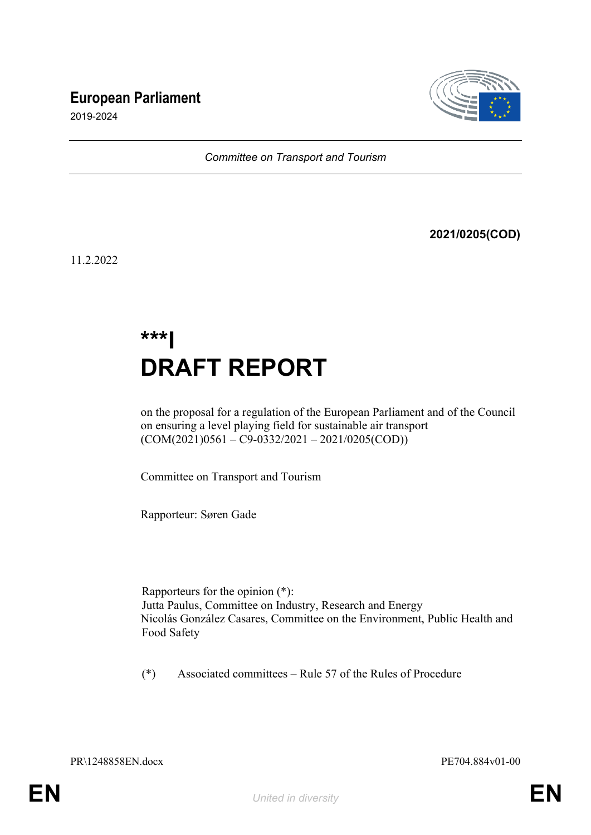# **European Parliament**



2019-2024

*Committee on Transport and Tourism*

**2021/0205(COD)**

11.2.2022

# **\*\*\*I DRAFT REPORT**

on the proposal for a regulation of the European Parliament and of the Council on ensuring a level playing field for sustainable air transport  $(COM(2021)0561 - C9-0332/2021 - 2021/0205(COD))$ 

Committee on Transport and Tourism

Rapporteur: Søren Gade

Rapporteurs for the opinion (\*): Jutta Paulus, Committee on Industry, Research and Energy Nicolás González Casares, Committee on the Environment, Public Health and Food Safety

(\*) Associated committees – Rule 57 of the Rules of Procedure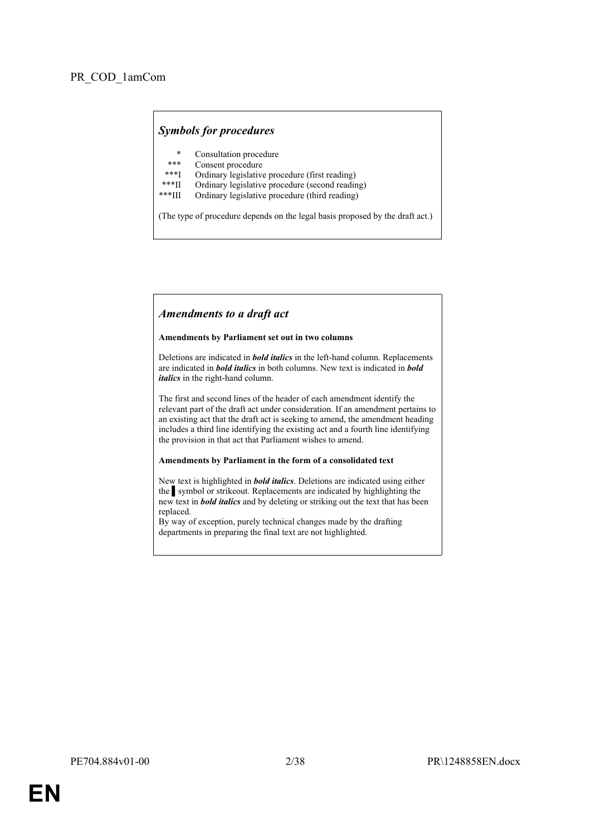# *Symbols for procedures*

- \* Consultation procedure
- Consent procedure
- \*\*\*I Ordinary legislative procedure (first reading)<br>\*\*\*II Ordinary legislative procedure (second reading)
- \*\*\*II Ordinary legislative procedure (second reading)
- Ordinary legislative procedure (third reading)

(The type of procedure depends on the legal basis proposed by the draft act.)

#### *Amendments to a draft act*

#### **Amendments by Parliament set out in two columns**

Deletions are indicated in *bold italics* in the left-hand column. Replacements are indicated in *bold italics* in both columns. New text is indicated in *bold italics* in the right-hand column.

The first and second lines of the header of each amendment identify the relevant part of the draft act under consideration. If an amendment pertains to an existing act that the draft act is seeking to amend, the amendment heading includes a third line identifying the existing act and a fourth line identifying the provision in that act that Parliament wishes to amend.

#### **Amendments by Parliament in the form of a consolidated text**

New text is highlighted in *bold italics*. Deletions are indicated using either the symbol or strikeout. Replacements are indicated by highlighting the new text in *bold italics* and by deleting or striking out the text that has been replaced.

By way of exception, purely technical changes made by the drafting departments in preparing the final text are not highlighted.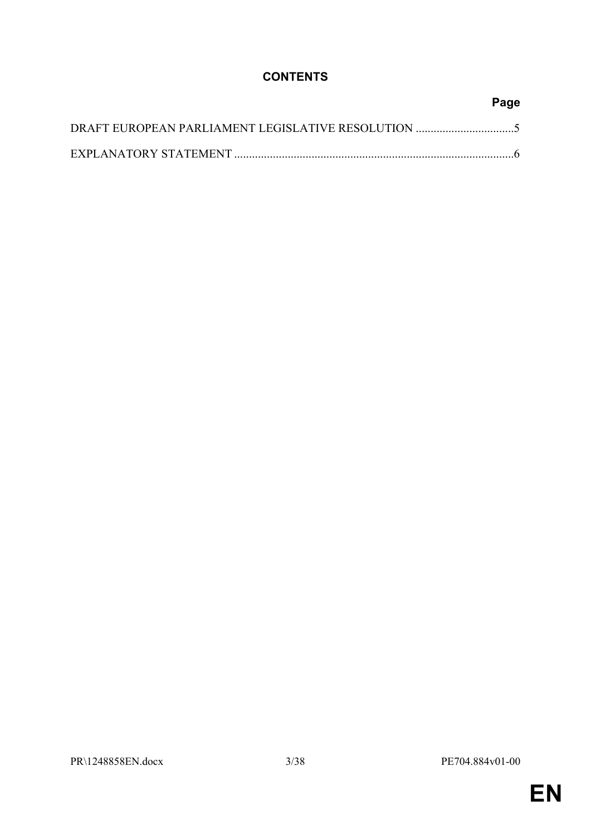# **CONTENTS**

| Page |
|------|
|      |
|      |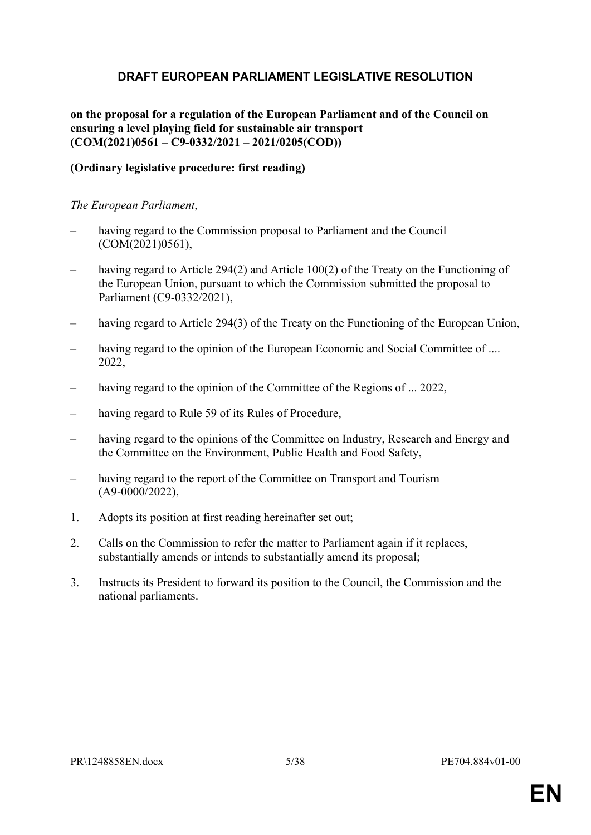# <span id="page-4-0"></span>**DRAFT EUROPEAN PARLIAMENT LEGISLATIVE RESOLUTION**

# **on the proposal for a regulation of the European Parliament and of the Council on ensuring a level playing field for sustainable air transport (COM(2021)0561 – C9-0332/2021 – 2021/0205(COD))**

# **(Ordinary legislative procedure: first reading)**

### *The European Parliament*,

- having regard to the Commission proposal to Parliament and the Council (COM(2021)0561),
- having regard to Article 294(2) and Article 100(2) of the Treaty on the Functioning of the European Union, pursuant to which the Commission submitted the proposal to Parliament (C9-0332/2021),
- having regard to Article 294(3) of the Treaty on the Functioning of the European Union,
- having regard to the opinion of the European Economic and Social Committee of .... 2022,
- having regard to the opinion of the Committee of the Regions of ... 2022,
- having regard to Rule 59 of its Rules of Procedure,
- having regard to the opinions of the Committee on Industry, Research and Energy and the Committee on the Environment, Public Health and Food Safety,
- having regard to the report of the Committee on Transport and Tourism (A9-0000/2022),
- 1. Adopts its position at first reading hereinafter set out;
- 2. Calls on the Commission to refer the matter to Parliament again if it replaces, substantially amends or intends to substantially amend its proposal;
- 3. Instructs its President to forward its position to the Council, the Commission and the national parliaments.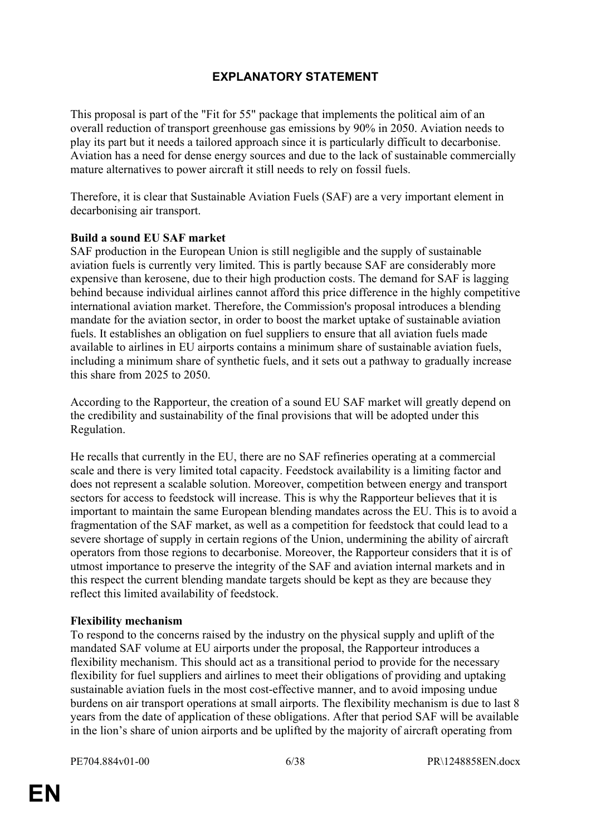# <span id="page-5-0"></span>**EXPLANATORY STATEMENT**

This proposal is part of the "Fit for 55" package that implements the political aim of an overall reduction of transport greenhouse gas emissions by 90% in 2050. Aviation needs to play its part but it needs a tailored approach since it is particularly difficult to decarbonise. Aviation has a need for dense energy sources and due to the lack of sustainable commercially mature alternatives to power aircraft it still needs to rely on fossil fuels.

Therefore, it is clear that Sustainable Aviation Fuels (SAF) are a very important element in decarbonising air transport.

# **Build a sound EU SAF market**

SAF production in the European Union is still negligible and the supply of sustainable aviation fuels is currently very limited. This is partly because SAF are considerably more expensive than kerosene, due to their high production costs. The demand for SAF is lagging behind because individual airlines cannot afford this price difference in the highly competitive international aviation market. Therefore, the Commission's proposal introduces a blending mandate for the aviation sector, in order to boost the market uptake of sustainable aviation fuels. It establishes an obligation on fuel suppliers to ensure that all aviation fuels made available to airlines in EU airports contains a minimum share of sustainable aviation fuels, including a minimum share of synthetic fuels, and it sets out a pathway to gradually increase this share from 2025 to 2050.

According to the Rapporteur, the creation of a sound EU SAF market will greatly depend on the credibility and sustainability of the final provisions that will be adopted under this Regulation.

He recalls that currently in the EU, there are no SAF refineries operating at a commercial scale and there is very limited total capacity. Feedstock availability is a limiting factor and does not represent a scalable solution. Moreover, competition between energy and transport sectors for access to feedstock will increase. This is why the Rapporteur believes that it is important to maintain the same European blending mandates across the EU. This is to avoid a fragmentation of the SAF market, as well as a competition for feedstock that could lead to a severe shortage of supply in certain regions of the Union, undermining the ability of aircraft operators from those regions to decarbonise. Moreover, the Rapporteur considers that it is of utmost importance to preserve the integrity of the SAF and aviation internal markets and in this respect the current blending mandate targets should be kept as they are because they reflect this limited availability of feedstock.

# **Flexibility mechanism**

To respond to the concerns raised by the industry on the physical supply and uplift of the mandated SAF volume at EU airports under the proposal, the Rapporteur introduces a flexibility mechanism. This should act as a transitional period to provide for the necessary flexibility for fuel suppliers and airlines to meet their obligations of providing and uptaking sustainable aviation fuels in the most cost-effective manner, and to avoid imposing undue burdens on air transport operations at small airports. The flexibility mechanism is due to last 8 years from the date of application of these obligations. After that period SAF will be available in the lion's share of union airports and be uplifted by the majority of aircraft operating from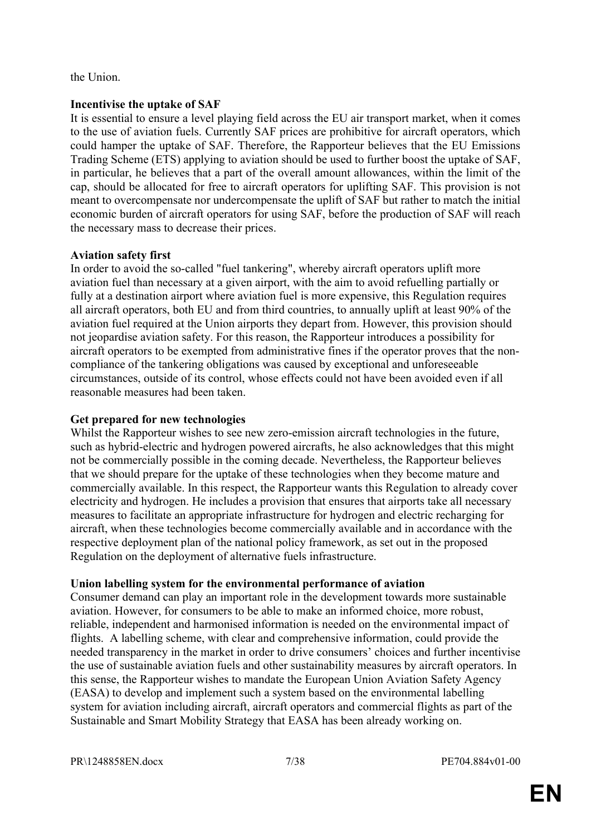the Union.

# **Incentivise the uptake of SAF**

It is essential to ensure a level playing field across the EU air transport market, when it comes to the use of aviation fuels. Currently SAF prices are prohibitive for aircraft operators, which could hamper the uptake of SAF. Therefore, the Rapporteur believes that the EU Emissions Trading Scheme (ETS) applying to aviation should be used to further boost the uptake of SAF, in particular, he believes that a part of the overall amount allowances, within the limit of the cap, should be allocated for free to aircraft operators for uplifting SAF. This provision is not meant to overcompensate nor undercompensate the uplift of SAF but rather to match the initial economic burden of aircraft operators for using SAF, before the production of SAF will reach the necessary mass to decrease their prices.

# **Aviation safety first**

In order to avoid the so-called "fuel tankering", whereby aircraft operators uplift more aviation fuel than necessary at a given airport, with the aim to avoid refuelling partially or fully at a destination airport where aviation fuel is more expensive, this Regulation requires all aircraft operators, both EU and from third countries, to annually uplift at least 90% of the aviation fuel required at the Union airports they depart from. However, this provision should not jeopardise aviation safety. For this reason, the Rapporteur introduces a possibility for aircraft operators to be exempted from administrative fines if the operator proves that the noncompliance of the tankering obligations was caused by exceptional and unforeseeable circumstances, outside of its control, whose effects could not have been avoided even if all reasonable measures had been taken.

# **Get prepared for new technologies**

Whilst the Rapporteur wishes to see new zero-emission aircraft technologies in the future, such as hybrid-electric and hydrogen powered aircrafts, he also acknowledges that this might not be commercially possible in the coming decade. Nevertheless, the Rapporteur believes that we should prepare for the uptake of these technologies when they become mature and commercially available. In this respect, the Rapporteur wants this Regulation to already cover electricity and hydrogen. He includes a provision that ensures that airports take all necessary measures to facilitate an appropriate infrastructure for hydrogen and electric recharging for aircraft, when these technologies become commercially available and in accordance with the respective deployment plan of the national policy framework, as set out in the proposed Regulation on the deployment of alternative fuels infrastructure.

# **Union labelling system for the environmental performance of aviation**

Consumer demand can play an important role in the development towards more sustainable aviation. However, for consumers to be able to make an informed choice, more robust, reliable, independent and harmonised information is needed on the environmental impact of flights. A labelling scheme, with clear and comprehensive information, could provide the needed transparency in the market in order to drive consumers' choices and further incentivise the use of sustainable aviation fuels and other sustainability measures by aircraft operators. In this sense, the Rapporteur wishes to mandate the European Union Aviation Safety Agency (EASA) to develop and implement such a system based on the environmental labelling system for aviation including aircraft, aircraft operators and commercial flights as part of the Sustainable and Smart Mobility Strategy that EASA has been already working on.

PR\1248858EN.docx 7/38 PE704.884v01-00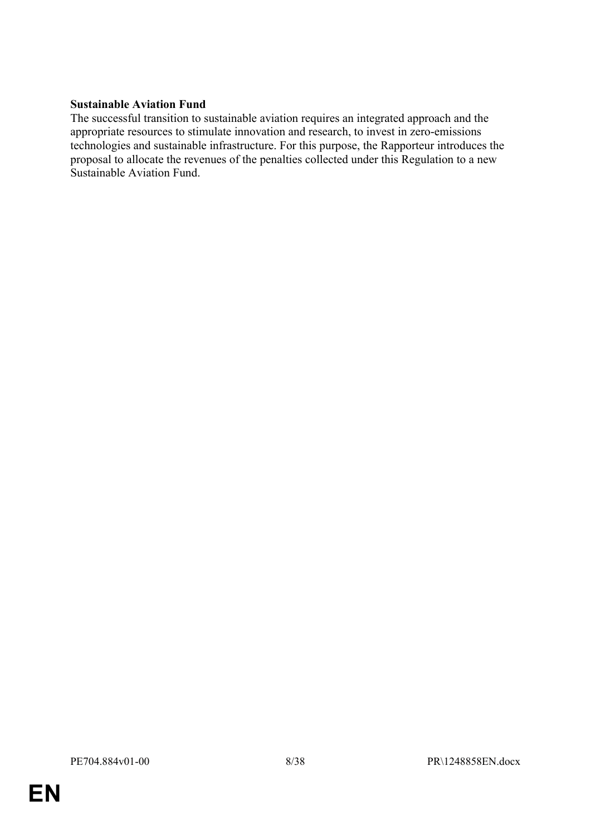# **Sustainable Aviation Fund**

The successful transition to sustainable aviation requires an integrated approach and the appropriate resources to stimulate innovation and research, to invest in zero-emissions technologies and sustainable infrastructure. For this purpose, the Rapporteur introduces the proposal to allocate the revenues of the penalties collected under this Regulation to a new Sustainable Aviation Fund.

**EN**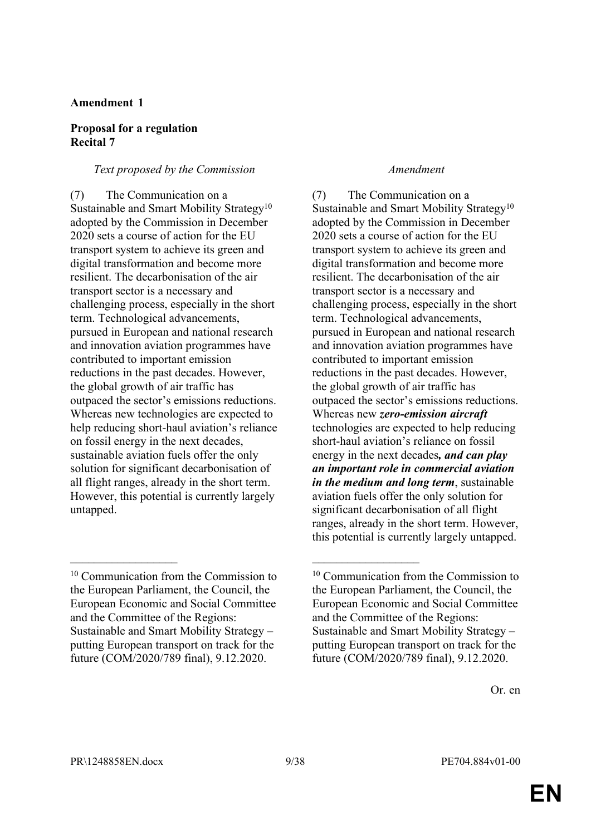# **Amendment 1**

### **Proposal for a regulation Recital 7**

### *Text proposed by the Commission Amendment*

(7) The Communication on a Sustainable and Smart Mobility Strategy<sup>10</sup> adopted by the Commission in December 2020 sets a course of action for the EU transport system to achieve its green and digital transformation and become more resilient. The decarbonisation of the air transport sector is a necessary and challenging process, especially in the short term. Technological advancements, pursued in European and national research and innovation aviation programmes have contributed to important emission reductions in the past decades. However, the global growth of air traffic has outpaced the sector's emissions reductions. Whereas new technologies are expected to help reducing short-haul aviation's reliance on fossil energy in the next decades, sustainable aviation fuels offer the only solution for significant decarbonisation of all flight ranges, already in the short term. However, this potential is currently largely untapped.

 $\mathcal{L}_\text{max}$  , and the contract of the contract of the contract of the contract of the contract of the contract of

(7) The Communication on a Sustainable and Smart Mobility Strategy<sup>10</sup> adopted by the Commission in December 2020 sets a course of action for the EU transport system to achieve its green and digital transformation and become more resilient. The decarbonisation of the air transport sector is a necessary and challenging process, especially in the short term. Technological advancements, pursued in European and national research and innovation aviation programmes have contributed to important emission reductions in the past decades. However, the global growth of air traffic has outpaced the sector's emissions reductions. Whereas new *zero-emission aircraft* technologies are expected to help reducing short-haul aviation's reliance on fossil energy in the next decades*, and can play an important role in commercial aviation in the medium and long term*, sustainable aviation fuels offer the only solution for significant decarbonisation of all flight ranges, already in the short term. However, this potential is currently largely untapped.

<sup>10</sup> Communication from the Commission to the European Parliament, the Council, the European Economic and Social Committee and the Committee of the Regions: Sustainable and Smart Mobility Strategy – putting European transport on track for the future (COM/2020/789 final), 9.12.2020.

<sup>10</sup> Communication from the Commission to the European Parliament, the Council, the European Economic and Social Committee and the Committee of the Regions: Sustainable and Smart Mobility Strategy – putting European transport on track for the future (COM/2020/789 final), 9.12.2020.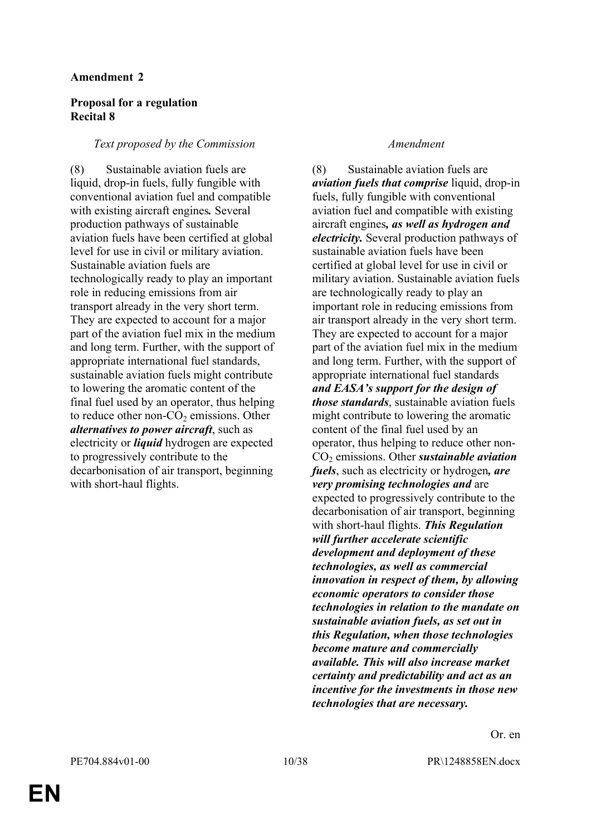### **Amendment 2**

# **Proposal for a regulation Recital 8**

### *Text proposed by the Commission Amendment*

(8) Sustainable aviation fuels are liquid, drop-in fuels, fully fungible with conventional aviation fuel and compatible with existing aircraft engines*.* Several production pathways of sustainable aviation fuels have been certified at global level for use in civil or military aviation. Sustainable aviation fuels are technologically ready to play an important role in reducing emissions from air transport already in the very short term. They are expected to account for a major part of the aviation fuel mix in the medium and long term. Further, with the support of appropriate international fuel standards, sustainable aviation fuels might contribute to lowering the aromatic content of the final fuel used by an operator, thus helping to reduce other non- $CO<sub>2</sub>$  emissions. Other *alternatives to power aircraft*, such as electricity or *liquid* hydrogen are expected to progressively contribute to the decarbonisation of air transport, beginning with short-haul flights.

(8) Sustainable aviation fuels are *aviation fuels that comprise* liquid, drop-in fuels, fully fungible with conventional aviation fuel and compatible with existing aircraft engines*, as well as hydrogen and electricity.* Several production pathways of sustainable aviation fuels have been certified at global level for use in civil or military aviation. Sustainable aviation fuels are technologically ready to play an important role in reducing emissions from air transport already in the very short term. They are expected to account for a major part of the aviation fuel mix in the medium and long term. Further, with the support of appropriate international fuel standards *and EASA's support for the design of those standards*, sustainable aviation fuels might contribute to lowering the aromatic content of the final fuel used by an operator, thus helping to reduce other non-CO2 emissions. Other *sustainable aviation fuels*, such as electricity or hydrogen*, are very promising technologies and* are expected to progressively contribute to the decarbonisation of air transport, beginning with short-haul flights. *This Regulation will further accelerate scientific development and deployment of these technologies, as well as commercial innovation in respect of them, by allowing economic operators to consider those technologies in relation to the mandate on sustainable aviation fuels, as set out in this Regulation, when those technologies become mature and commercially available. This will also increase market certainty and predictability and act as an incentive for the investments in those new technologies that are necessary.*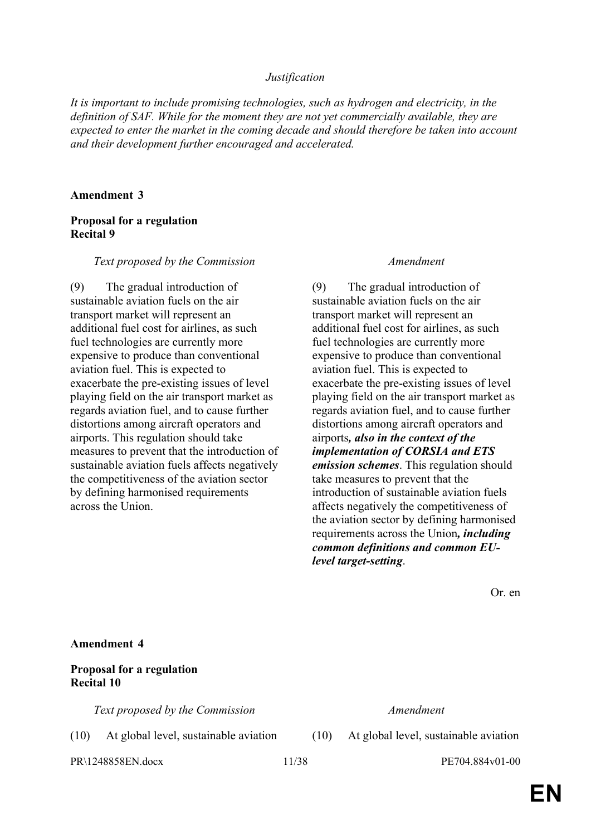#### *Justification*

*It is important to include promising technologies, such as hydrogen and electricity, in the definition of SAF. While for the moment they are not yet commercially available, they are expected to enter the market in the coming decade and should therefore be taken into account and their development further encouraged and accelerated.*

#### **Amendment 3**

# **Proposal for a regulation Recital 9**

#### *Text proposed by the Commission Amendment*

(9) The gradual introduction of sustainable aviation fuels on the air transport market will represent an additional fuel cost for airlines, as such fuel technologies are currently more expensive to produce than conventional aviation fuel. This is expected to exacerbate the pre-existing issues of level playing field on the air transport market as regards aviation fuel, and to cause further distortions among aircraft operators and airports. This regulation should take measures to prevent that the introduction of sustainable aviation fuels affects negatively the competitiveness of the aviation sector by defining harmonised requirements across the Union.

(9) The gradual introduction of sustainable aviation fuels on the air transport market will represent an additional fuel cost for airlines, as such fuel technologies are currently more expensive to produce than conventional aviation fuel. This is expected to exacerbate the pre-existing issues of level playing field on the air transport market as regards aviation fuel, and to cause further distortions among aircraft operators and airports*, also in the context of the implementation of CORSIA and ETS emission schemes*. This regulation should take measures to prevent that the introduction of sustainable aviation fuels affects negatively the competitiveness of the aviation sector by defining harmonised requirements across the Union*, including common definitions and common EUlevel target-setting*.

Or. en

#### **Amendment 4**

# **Proposal for a regulation Recital 10**

*Text proposed by the Commission Amendment*

(10) At global level, sustainable aviation (10) At global level, sustainable aviation

PR\1248858EN.docx 11/38 PE704.884v01-00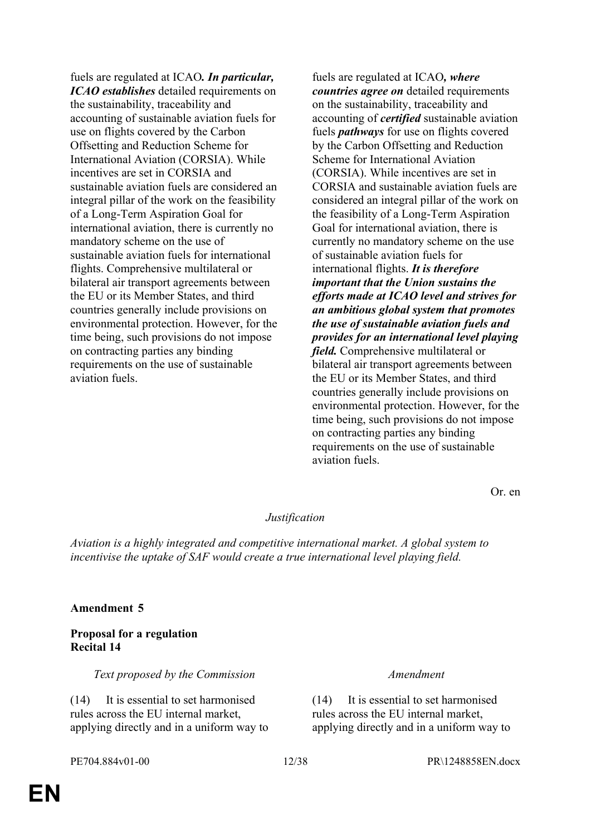fuels are regulated at ICAO*. In particular, ICAO establishes* detailed requirements on the sustainability, traceability and accounting of sustainable aviation fuels for use on flights covered by the Carbon Offsetting and Reduction Scheme for International Aviation (CORSIA). While incentives are set in CORSIA and sustainable aviation fuels are considered an integral pillar of the work on the feasibility of a Long-Term Aspiration Goal for international aviation, there is currently no mandatory scheme on the use of sustainable aviation fuels for international flights. Comprehensive multilateral or bilateral air transport agreements between the EU or its Member States, and third countries generally include provisions on environmental protection. However, for the time being, such provisions do not impose on contracting parties any binding requirements on the use of sustainable aviation fuels.

fuels are regulated at ICAO*, where countries agree on* detailed requirements on the sustainability, traceability and accounting of *certified* sustainable aviation fuels *pathways* for use on flights covered by the Carbon Offsetting and Reduction Scheme for International Aviation (CORSIA). While incentives are set in CORSIA and sustainable aviation fuels are considered an integral pillar of the work on the feasibility of a Long-Term Aspiration Goal for international aviation, there is currently no mandatory scheme on the use of sustainable aviation fuels for international flights. *It is therefore important that the Union sustains the efforts made at ICAO level and strives for an ambitious global system that promotes the use of sustainable aviation fuels and provides for an international level playing field.* Comprehensive multilateral or bilateral air transport agreements between the EU or its Member States, and third countries generally include provisions on environmental protection. However, for the time being, such provisions do not impose on contracting parties any binding requirements on the use of sustainable aviation fuels.

Or. en

#### *Justification*

*Aviation is a highly integrated and competitive international market. A global system to incentivise the uptake of SAF would create a true international level playing field.*

#### **Amendment 5**

### **Proposal for a regulation Recital 14**

*Text proposed by the Commission Amendment*

(14) It is essential to set harmonised rules across the EU internal market, applying directly and in a uniform way to

(14) It is essential to set harmonised rules across the EU internal market, applying directly and in a uniform way to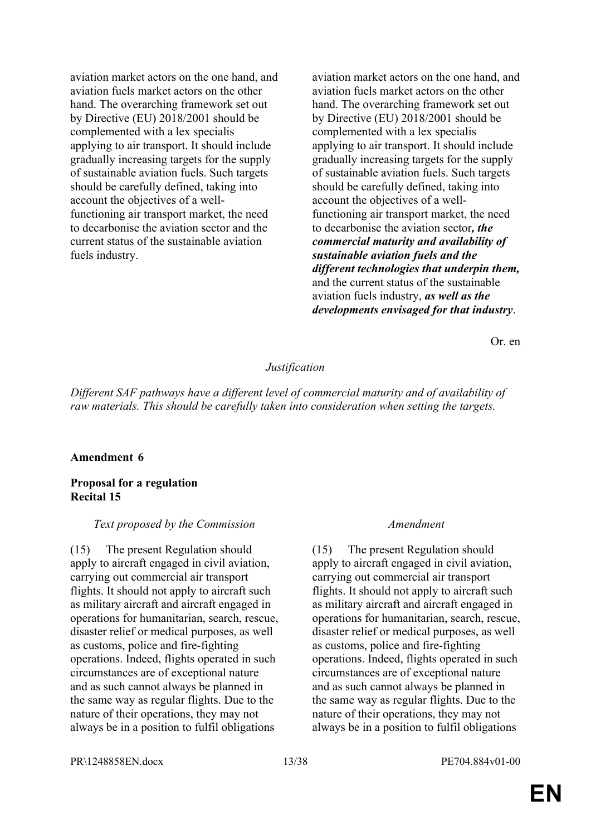aviation market actors on the one hand, and aviation fuels market actors on the other hand. The overarching framework set out by Directive (EU) 2018/2001 should be complemented with a lex specialis applying to air transport. It should include gradually increasing targets for the supply of sustainable aviation fuels. Such targets should be carefully defined, taking into account the objectives of a wellfunctioning air transport market, the need to decarbonise the aviation sector and the current status of the sustainable aviation fuels industry.

aviation market actors on the one hand, and aviation fuels market actors on the other hand. The overarching framework set out by Directive (EU) 2018/2001 should be complemented with a lex specialis applying to air transport. It should include gradually increasing targets for the supply of sustainable aviation fuels. Such targets should be carefully defined, taking into account the objectives of a wellfunctioning air transport market, the need to decarbonise the aviation sector*, the commercial maturity and availability of sustainable aviation fuels and the different technologies that underpin them,* and the current status of the sustainable aviation fuels industry, *as well as the developments envisaged for that industry*.

Or. en

### *Justification*

*Different SAF pathways have a different level of commercial maturity and of availability of raw materials. This should be carefully taken into consideration when setting the targets.*

#### **Amendment 6**

#### **Proposal for a regulation Recital 15**

#### *Text proposed by the Commission Amendment*

(15) The present Regulation should apply to aircraft engaged in civil aviation, carrying out commercial air transport flights. It should not apply to aircraft such as military aircraft and aircraft engaged in operations for humanitarian, search, rescue, disaster relief or medical purposes, as well as customs, police and fire-fighting operations. Indeed, flights operated in such circumstances are of exceptional nature and as such cannot always be planned in the same way as regular flights. Due to the nature of their operations, they may not always be in a position to fulfil obligations

(15) The present Regulation should apply to aircraft engaged in civil aviation, carrying out commercial air transport flights. It should not apply to aircraft such as military aircraft and aircraft engaged in operations for humanitarian, search, rescue, disaster relief or medical purposes, as well as customs, police and fire-fighting operations. Indeed, flights operated in such circumstances are of exceptional nature and as such cannot always be planned in the same way as regular flights. Due to the nature of their operations, they may not always be in a position to fulfil obligations

PR\1248858EN.docx 13/38 PE704.884v01-00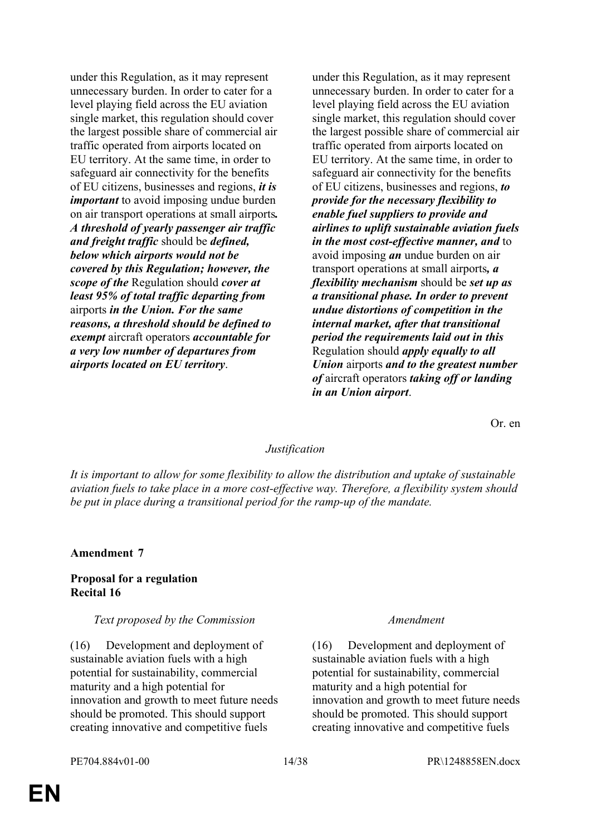under this Regulation, as it may represent unnecessary burden. In order to cater for a level playing field across the EU aviation single market, this regulation should cover the largest possible share of commercial air traffic operated from airports located on EU territory. At the same time, in order to safeguard air connectivity for the benefits of EU citizens, businesses and regions, *it is important* to avoid imposing undue burden on air transport operations at small airports*. A threshold of yearly passenger air traffic and freight traffic* should be *defined, below which airports would not be covered by this Regulation; however, the scope of the* Regulation should *cover at least 95% of total traffic departing from* airports *in the Union. For the same reasons, a threshold should be defined to exempt* aircraft operators *accountable for a very low number of departures from airports located on EU territory*.

under this Regulation, as it may represent unnecessary burden. In order to cater for a level playing field across the EU aviation single market, this regulation should cover the largest possible share of commercial air traffic operated from airports located on EU territory. At the same time, in order to safeguard air connectivity for the benefits of EU citizens, businesses and regions, *to provide for the necessary flexibility to enable fuel suppliers to provide and airlines to uplift sustainable aviation fuels in the most cost-effective manner, and* to avoid imposing *an* undue burden on air transport operations at small airports*, a flexibility mechanism* should be *set up as a transitional phase. In order to prevent undue distortions of competition in the internal market, after that transitional period the requirements laid out in this* Regulation should *apply equally to all Union* airports *and to the greatest number of* aircraft operators *taking off or landing in an Union airport*.

Or. en

### *Justification*

*It is important to allow for some flexibility to allow the distribution and uptake of sustainable aviation fuels to take place in a more cost-effective way. Therefore, a flexibility system should be put in place during a transitional period for the ramp-up of the mandate.*

#### **Amendment 7**

#### **Proposal for a regulation Recital 16**

#### *Text proposed by the Commission Amendment*

(16) Development and deployment of sustainable aviation fuels with a high potential for sustainability, commercial maturity and a high potential for innovation and growth to meet future needs should be promoted. This should support creating innovative and competitive fuels

(16) Development and deployment of sustainable aviation fuels with a high potential for sustainability, commercial maturity and a high potential for innovation and growth to meet future needs should be promoted. This should support creating innovative and competitive fuels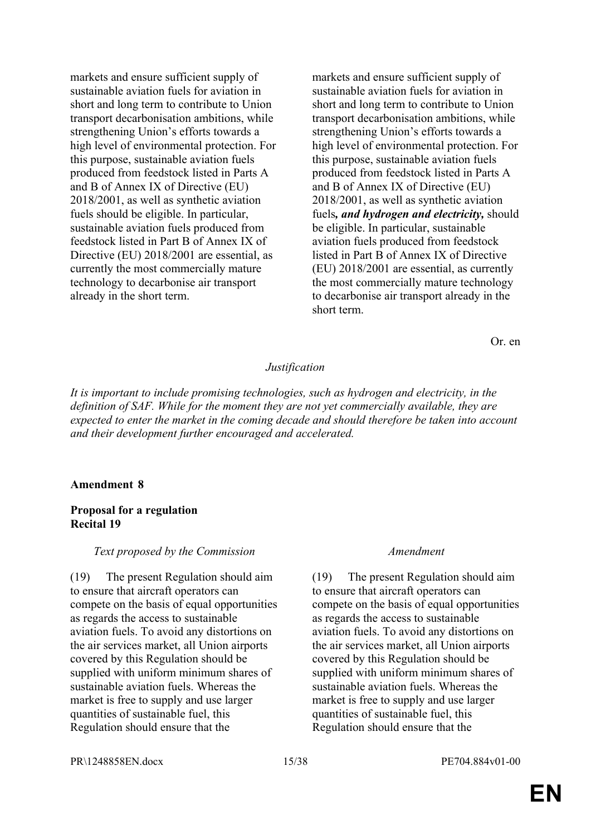markets and ensure sufficient supply of sustainable aviation fuels for aviation in short and long term to contribute to Union transport decarbonisation ambitions, while strengthening Union's efforts towards a high level of environmental protection. For this purpose, sustainable aviation fuels produced from feedstock listed in Parts A and B of Annex IX of Directive (EU) 2018/2001, as well as synthetic aviation fuels should be eligible. In particular, sustainable aviation fuels produced from feedstock listed in Part B of Annex IX of Directive (EU) 2018/2001 are essential, as currently the most commercially mature technology to decarbonise air transport already in the short term.

markets and ensure sufficient supply of sustainable aviation fuels for aviation in short and long term to contribute to Union transport decarbonisation ambitions, while strengthening Union's efforts towards a high level of environmental protection. For this purpose, sustainable aviation fuels produced from feedstock listed in Parts A and B of Annex IX of Directive (EU) 2018/2001, as well as synthetic aviation fuels*, and hydrogen and electricity,* should be eligible. In particular, sustainable aviation fuels produced from feedstock listed in Part B of Annex IX of Directive (EU) 2018/2001 are essential, as currently the most commercially mature technology to decarbonise air transport already in the short term.

Or. en

# *Justification*

*It is important to include promising technologies, such as hydrogen and electricity, in the definition of SAF. While for the moment they are not yet commercially available, they are expected to enter the market in the coming decade and should therefore be taken into account and their development further encouraged and accelerated.*

### **Amendment 8**

### **Proposal for a regulation Recital 19**

#### *Text proposed by the Commission Amendment*

(19) The present Regulation should aim to ensure that aircraft operators can compete on the basis of equal opportunities as regards the access to sustainable aviation fuels. To avoid any distortions on the air services market, all Union airports covered by this Regulation should be supplied with uniform minimum shares of sustainable aviation fuels. Whereas the market is free to supply and use larger quantities of sustainable fuel, this Regulation should ensure that the

(19) The present Regulation should aim to ensure that aircraft operators can compete on the basis of equal opportunities as regards the access to sustainable aviation fuels. To avoid any distortions on the air services market, all Union airports covered by this Regulation should be supplied with uniform minimum shares of sustainable aviation fuels. Whereas the market is free to supply and use larger quantities of sustainable fuel, this Regulation should ensure that the

PR\1248858EN.docx 15/38 PE704.884v01-00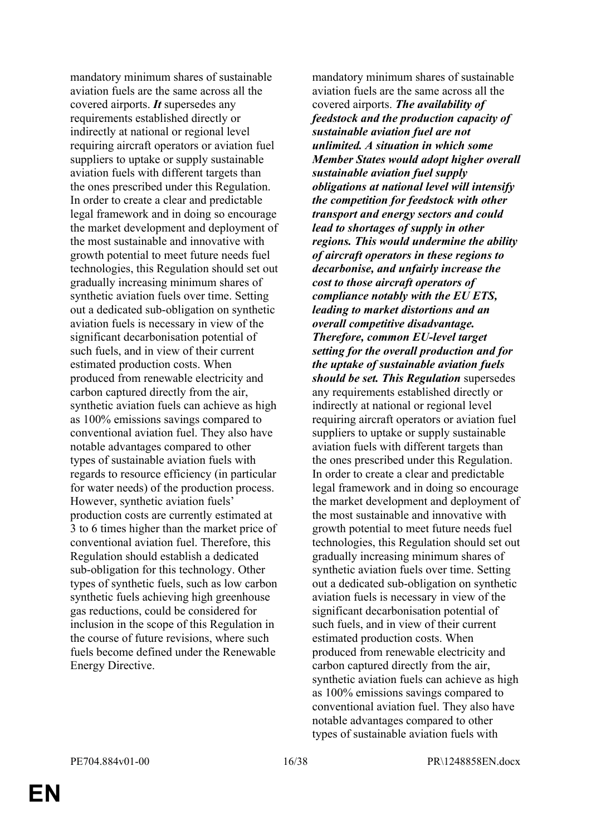mandatory minimum shares of sustainable aviation fuels are the same across all the covered airports. *It* supersedes any requirements established directly or indirectly at national or regional level requiring aircraft operators or aviation fuel suppliers to uptake or supply sustainable aviation fuels with different targets than the ones prescribed under this Regulation. In order to create a clear and predictable legal framework and in doing so encourage the market development and deployment of the most sustainable and innovative with growth potential to meet future needs fuel technologies, this Regulation should set out gradually increasing minimum shares of synthetic aviation fuels over time. Setting out a dedicated sub-obligation on synthetic aviation fuels is necessary in view of the significant decarbonisation potential of such fuels, and in view of their current estimated production costs. When produced from renewable electricity and carbon captured directly from the air, synthetic aviation fuels can achieve as high as 100% emissions savings compared to conventional aviation fuel. They also have notable advantages compared to other types of sustainable aviation fuels with regards to resource efficiency (in particular for water needs) of the production process. However, synthetic aviation fuels' production costs are currently estimated at 3 to 6 times higher than the market price of conventional aviation fuel. Therefore, this Regulation should establish a dedicated sub-obligation for this technology. Other types of synthetic fuels, such as low carbon synthetic fuels achieving high greenhouse gas reductions, could be considered for inclusion in the scope of this Regulation in the course of future revisions, where such fuels become defined under the Renewable Energy Directive.

mandatory minimum shares of sustainable aviation fuels are the same across all the covered airports. *The availability of feedstock and the production capacity of sustainable aviation fuel are not unlimited. A situation in which some Member States would adopt higher overall sustainable aviation fuel supply obligations at national level will intensify the competition for feedstock with other transport and energy sectors and could lead to shortages of supply in other regions. This would undermine the ability of aircraft operators in these regions to decarbonise, and unfairly increase the cost to those aircraft operators of compliance notably with the EU ETS, leading to market distortions and an overall competitive disadvantage. Therefore, common EU-level target setting for the overall production and for the uptake of sustainable aviation fuels should be set. This Regulation* supersedes any requirements established directly or indirectly at national or regional level requiring aircraft operators or aviation fuel suppliers to uptake or supply sustainable aviation fuels with different targets than the ones prescribed under this Regulation. In order to create a clear and predictable legal framework and in doing so encourage the market development and deployment of the most sustainable and innovative with growth potential to meet future needs fuel technologies, this Regulation should set out gradually increasing minimum shares of synthetic aviation fuels over time. Setting out a dedicated sub-obligation on synthetic aviation fuels is necessary in view of the significant decarbonisation potential of such fuels, and in view of their current estimated production costs. When produced from renewable electricity and carbon captured directly from the air, synthetic aviation fuels can achieve as high as 100% emissions savings compared to conventional aviation fuel. They also have notable advantages compared to other types of sustainable aviation fuels with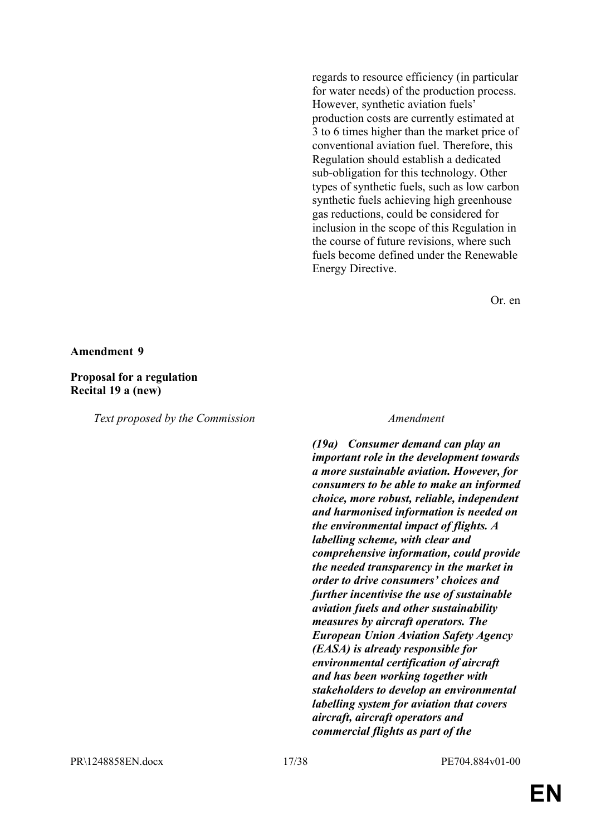regards to resource efficiency (in particular for water needs) of the production process. However, synthetic aviation fuels' production costs are currently estimated at 3 to 6 times higher than the market price of conventional aviation fuel. Therefore, this Regulation should establish a dedicated sub-obligation for this technology. Other types of synthetic fuels, such as low carbon synthetic fuels achieving high greenhouse gas reductions, could be considered for inclusion in the scope of this Regulation in the course of future revisions, where such fuels become defined under the Renewable Energy Directive.

Or. en

#### **Amendment 9**

#### **Proposal for a regulation Recital 19 a (new)**

*Text proposed by the Commission Amendment*

*(19a) Consumer demand can play an important role in the development towards a more sustainable aviation. However, for consumers to be able to make an informed choice, more robust, reliable, independent and harmonised information is needed on the environmental impact of flights. A labelling scheme, with clear and comprehensive information, could provide the needed transparency in the market in order to drive consumers' choices and further incentivise the use of sustainable aviation fuels and other sustainability measures by aircraft operators. The European Union Aviation Safety Agency (EASA) is already responsible for environmental certification of aircraft and has been working together with stakeholders to develop an environmental labelling system for aviation that covers aircraft, aircraft operators and commercial flights as part of the*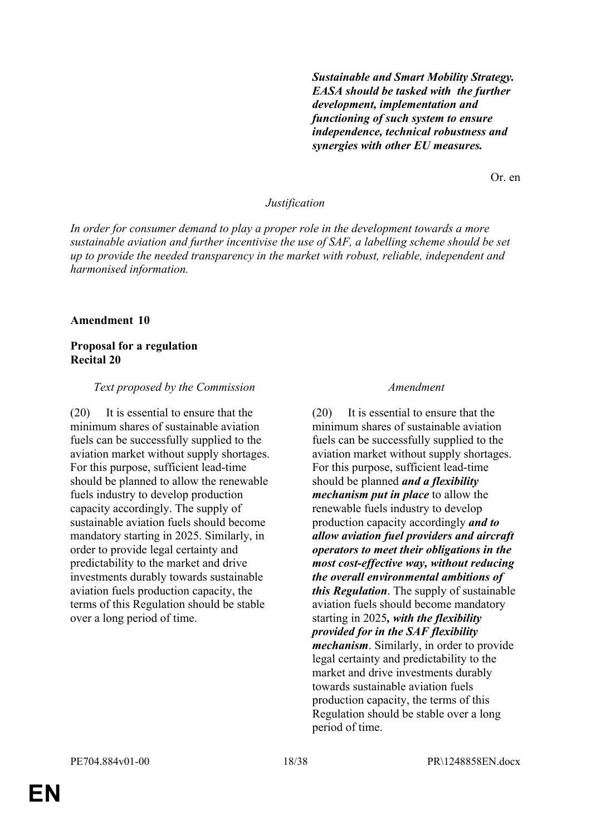*Sustainable and Smart Mobility Strategy. EASA should be tasked with the further development, implementation and functioning of such system to ensure independence, technical robustness and synergies with other EU measures.*

Or. en

#### *Justification*

*In order for consumer demand to play a proper role in the development towards a more sustainable aviation and further incentivise the use of SAF, a labelling scheme should be set up to provide the needed transparency in the market with robust, reliable, independent and harmonised information.*

#### **Amendment 10**

### **Proposal for a regulation Recital 20**

#### *Text proposed by the Commission Amendment*

(20) It is essential to ensure that the minimum shares of sustainable aviation fuels can be successfully supplied to the aviation market without supply shortages. For this purpose, sufficient lead-time should be planned to allow the renewable fuels industry to develop production capacity accordingly. The supply of sustainable aviation fuels should become mandatory starting in 2025. Similarly, in order to provide legal certainty and predictability to the market and drive investments durably towards sustainable aviation fuels production capacity, the terms of this Regulation should be stable over a long period of time.

(20) It is essential to ensure that the minimum shares of sustainable aviation fuels can be successfully supplied to the aviation market without supply shortages. For this purpose, sufficient lead-time should be planned *and a flexibility mechanism put in place* to allow the renewable fuels industry to develop production capacity accordingly *and to allow aviation fuel providers and aircraft operators to meet their obligations in the most cost-effective way, without reducing the overall environmental ambitions of this Regulation*. The supply of sustainable aviation fuels should become mandatory starting in 2025*, with the flexibility provided for in the SAF flexibility mechanism*. Similarly, in order to provide legal certainty and predictability to the market and drive investments durably towards sustainable aviation fuels production capacity, the terms of this Regulation should be stable over a long period of time.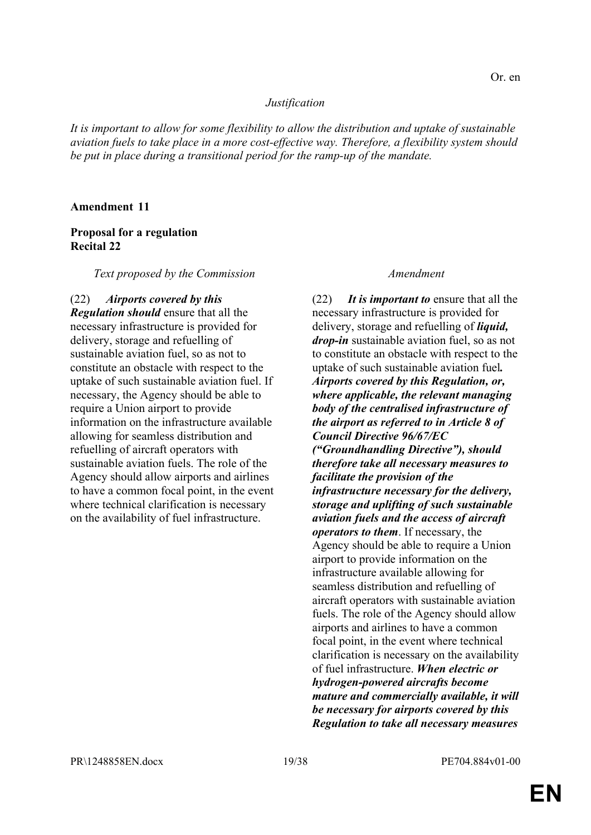### *Justification*

*It is important to allow for some flexibility to allow the distribution and uptake of sustainable aviation fuels to take place in a more cost-effective way. Therefore, a flexibility system should be put in place during a transitional period for the ramp-up of the mandate.*

#### **Amendment 11**

### **Proposal for a regulation Recital 22**

*Text proposed by the Commission Amendment*

(22) *Airports covered by this Regulation should* ensure that all the necessary infrastructure is provided for delivery, storage and refuelling of sustainable aviation fuel, so as not to constitute an obstacle with respect to the uptake of such sustainable aviation fuel. If necessary, the Agency should be able to require a Union airport to provide information on the infrastructure available allowing for seamless distribution and refuelling of aircraft operators with sustainable aviation fuels. The role of the Agency should allow airports and airlines to have a common focal point, in the event where technical clarification is necessary on the availability of fuel infrastructure.

(22) *It is important to* ensure that all the necessary infrastructure is provided for delivery, storage and refuelling of *liquid, drop-in* sustainable aviation fuel, so as not to constitute an obstacle with respect to the uptake of such sustainable aviation fuel*. Airports covered by this Regulation, or, where applicable, the relevant managing body of the centralised infrastructure of the airport as referred to in Article 8 of Council Directive 96/67/EC ("Groundhandling Directive"), should therefore take all necessary measures to facilitate the provision of the infrastructure necessary for the delivery, storage and uplifting of such sustainable aviation fuels and the access of aircraft operators to them*. If necessary, the Agency should be able to require a Union airport to provide information on the infrastructure available allowing for seamless distribution and refuelling of aircraft operators with sustainable aviation fuels. The role of the Agency should allow airports and airlines to have a common focal point, in the event where technical clarification is necessary on the availability of fuel infrastructure. *When electric or hydrogen-powered aircrafts become mature and commercially available, it will be necessary for airports covered by this Regulation to take all necessary measures*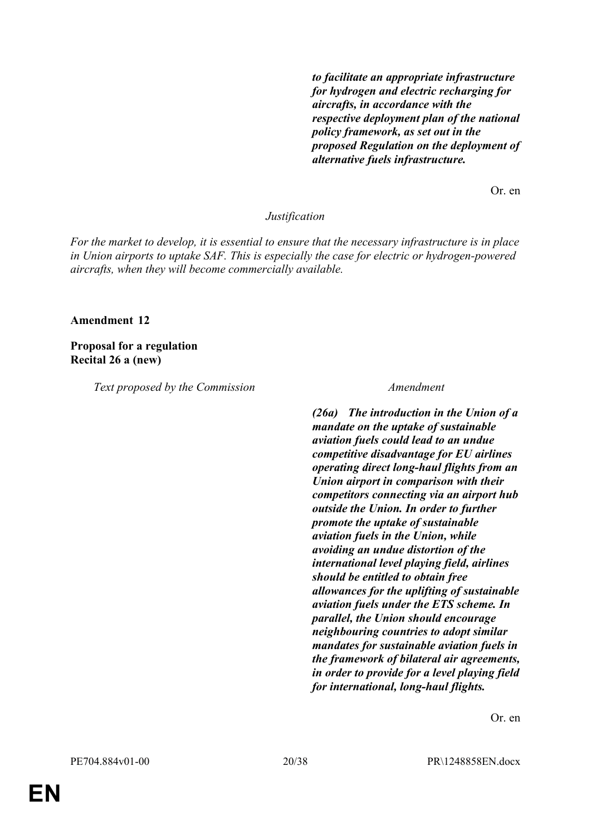*to facilitate an appropriate infrastructure for hydrogen and electric recharging for aircrafts, in accordance with the respective deployment plan of the national policy framework, as set out in the proposed Regulation on the deployment of alternative fuels infrastructure.*

Or. en

#### *Justification*

*For the market to develop, it is essential to ensure that the necessary infrastructure is in place in Union airports to uptake SAF. This is especially the case for electric or hydrogen-powered aircrafts, when they will become commercially available.*

#### **Amendment 12**

### **Proposal for a regulation Recital 26 a (new)**

*Text proposed by the Commission Amendment*

*(26a) The introduction in the Union of a mandate on the uptake of sustainable aviation fuels could lead to an undue competitive disadvantage for EU airlines operating direct long-haul flights from an Union airport in comparison with their competitors connecting via an airport hub outside the Union. In order to further promote the uptake of sustainable aviation fuels in the Union, while avoiding an undue distortion of the international level playing field, airlines should be entitled to obtain free allowances for the uplifting of sustainable aviation fuels under the ETS scheme. In parallel, the Union should encourage neighbouring countries to adopt similar mandates for sustainable aviation fuels in the framework of bilateral air agreements, in order to provide for a level playing field for international, long-haul flights.*

Or. en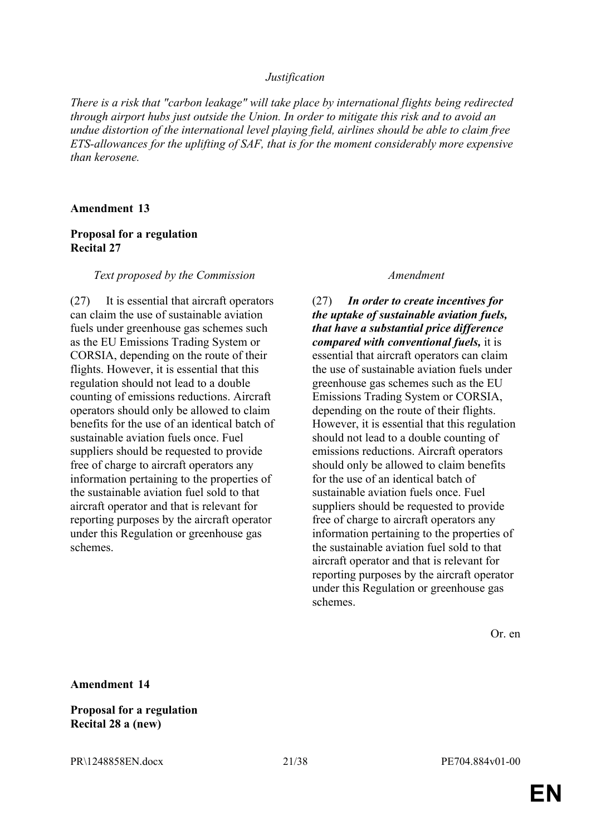#### *Justification*

*There is a risk that "carbon leakage" will take place by international flights being redirected through airport hubs just outside the Union. In order to mitigate this risk and to avoid an undue distortion of the international level playing field, airlines should be able to claim free ETS-allowances for the uplifting of SAF, that is for the moment considerably more expensive than kerosene.*

#### **Amendment 13**

### **Proposal for a regulation Recital 27**

#### *Text proposed by the Commission Amendment*

(27) It is essential that aircraft operators can claim the use of sustainable aviation fuels under greenhouse gas schemes such as the EU Emissions Trading System or CORSIA, depending on the route of their flights. However, it is essential that this regulation should not lead to a double counting of emissions reductions. Aircraft operators should only be allowed to claim benefits for the use of an identical batch of sustainable aviation fuels once. Fuel suppliers should be requested to provide free of charge to aircraft operators any information pertaining to the properties of the sustainable aviation fuel sold to that aircraft operator and that is relevant for reporting purposes by the aircraft operator under this Regulation or greenhouse gas schemes.

(27) *In order to create incentives for the uptake of sustainable aviation fuels, that have a substantial price difference compared with conventional fuels,* it is essential that aircraft operators can claim the use of sustainable aviation fuels under greenhouse gas schemes such as the EU Emissions Trading System or CORSIA, depending on the route of their flights. However, it is essential that this regulation should not lead to a double counting of emissions reductions. Aircraft operators should only be allowed to claim benefits for the use of an identical batch of sustainable aviation fuels once. Fuel suppliers should be requested to provide free of charge to aircraft operators any information pertaining to the properties of the sustainable aviation fuel sold to that aircraft operator and that is relevant for reporting purposes by the aircraft operator under this Regulation or greenhouse gas schemes.

Or. en

**Amendment 14**

**Proposal for a regulation Recital 28 a (new)**

PR\1248858EN.docx 21/38 PE704.884v01-00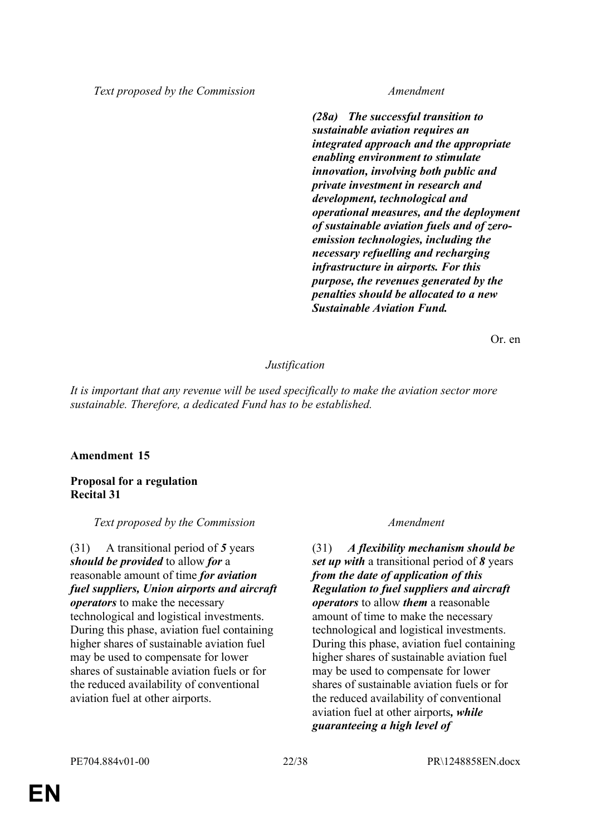*Text proposed by the Commission Amendment*

*(28a) The successful transition to sustainable aviation requires an integrated approach and the appropriate enabling environment to stimulate innovation, involving both public and private investment in research and development, technological and operational measures, and the deployment of sustainable aviation fuels and of zeroemission technologies, including the necessary refuelling and recharging infrastructure in airports. For this purpose, the revenues generated by the penalties should be allocated to a new Sustainable Aviation Fund.*

Or. en

# *Justification*

*It is important that any revenue will be used specifically to make the aviation sector more sustainable. Therefore, a dedicated Fund has to be established.*

### **Amendment 15**

### **Proposal for a regulation Recital 31**

*Text proposed by the Commission Amendment*

(31) A transitional period of *5* years *should be provided* to allow *for* a reasonable amount of time *for aviation fuel suppliers, Union airports and aircraft operators* to make the necessary technological and logistical investments. During this phase, aviation fuel containing higher shares of sustainable aviation fuel may be used to compensate for lower shares of sustainable aviation fuels or for the reduced availability of conventional aviation fuel at other airports.

(31) *A flexibility mechanism should be set up with* a transitional period of *8* years *from the date of application of this Regulation to fuel suppliers and aircraft operators* to allow *them* a reasonable amount of time to make the necessary technological and logistical investments. During this phase, aviation fuel containing higher shares of sustainable aviation fuel may be used to compensate for lower shares of sustainable aviation fuels or for the reduced availability of conventional aviation fuel at other airports*, while guaranteeing a high level of*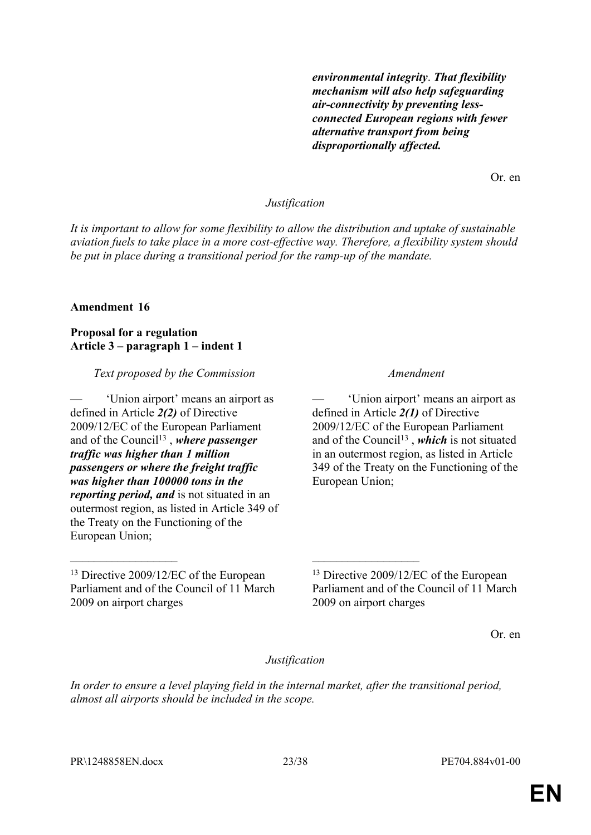*environmental integrity*. *That flexibility mechanism will also help safeguarding air-connectivity by preventing lessconnected European regions with fewer alternative transport from being disproportionally affected.*

Or. en

#### *Justification*

*It is important to allow for some flexibility to allow the distribution and uptake of sustainable aviation fuels to take place in a more cost-effective way. Therefore, a flexibility system should be put in place during a transitional period for the ramp-up of the mandate.*

#### **Amendment 16**

**Proposal for a regulation Article 3 – paragraph 1 – indent 1**

*Text proposed by the Commission Amendment*

— 'Union airport' means an airport as defined in Article *2(2)* of Directive 2009/12/EC of the European Parliament and of the Council<sup>13</sup>, where passenger *traffic was higher than 1 million passengers or where the freight traffic was higher than 100000 tons in the reporting period, and* is not situated in an outermost region, as listed in Article 349 of the Treaty on the Functioning of the European Union;

— 'Union airport' means an airport as defined in Article *2(1)* of Directive 2009/12/EC of the European Parliament and of the Council<sup>13</sup>, which is not situated in an outermost region, as listed in Article 349 of the Treaty on the Functioning of the European Union;

<sup>13</sup> Directive 2009/12/EC of the European Parliament and of the Council of 11 March 2009 on airport charges

Or. en

#### *Justification*

*In order to ensure a level playing field in the internal market, after the transitional period, almost all airports should be included in the scope.*

 $\mathcal{L}_\text{max}$  , and the contract of the contract of the contract of the contract of the contract of the contract of

<sup>13</sup> Directive 2009/12/EC of the European Parliament and of the Council of 11 March 2009 on airport charges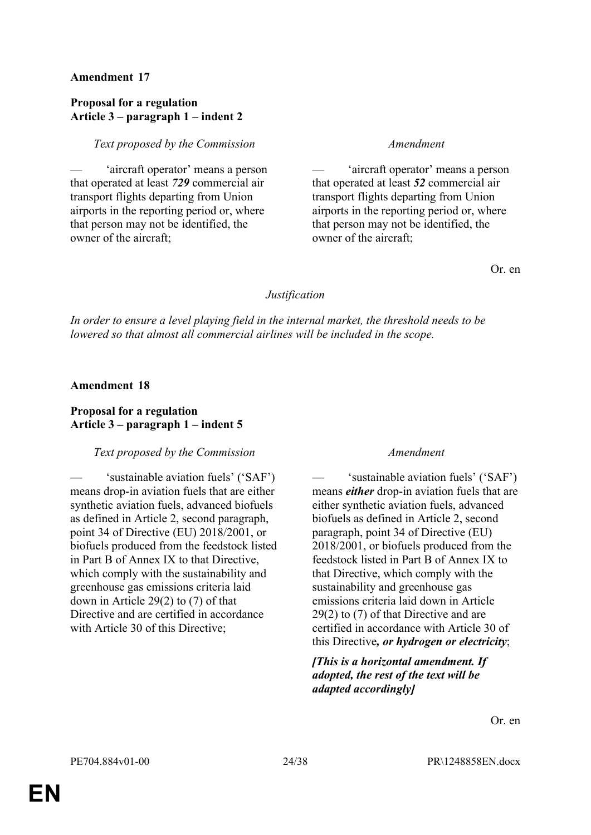# **Amendment 17**

### **Proposal for a regulation Article 3 – paragraph 1 – indent 2**

### *Text proposed by the Commission Amendment*

— 'aircraft operator' means a person that operated at least *729* commercial air transport flights departing from Union airports in the reporting period or, where that person may not be identified, the owner of the aircraft;

— 'aircraft operator' means a person that operated at least *52* commercial air transport flights departing from Union airports in the reporting period or, where that person may not be identified, the owner of the aircraft;

Or. en

# *Justification*

*In order to ensure a level playing field in the internal market, the threshold needs to be lowered so that almost all commercial airlines will be included in the scope.*

# **Amendment 18**

# **Proposal for a regulation Article 3 – paragraph 1 – indent 5**

# *Text proposed by the Commission Amendment*

'sustainable aviation fuels' ('SAF') means drop-in aviation fuels that are either synthetic aviation fuels, advanced biofuels as defined in Article 2, second paragraph, point 34 of Directive (EU) 2018/2001, or biofuels produced from the feedstock listed in Part B of Annex IX to that Directive, which comply with the sustainability and greenhouse gas emissions criteria laid down in Article 29(2) to (7) of that Directive and are certified in accordance with Article 30 of this Directive;

— 'sustainable aviation fuels' ('SAF') means *either* drop-in aviation fuels that are either synthetic aviation fuels, advanced biofuels as defined in Article 2, second paragraph, point 34 of Directive (EU) 2018/2001, or biofuels produced from the feedstock listed in Part B of Annex IX to that Directive, which comply with the sustainability and greenhouse gas emissions criteria laid down in Article 29(2) to (7) of that Directive and are certified in accordance with Article 30 of this Directive*, or hydrogen or electricity*;

*[This is a horizontal amendment. If adopted, the rest of the text will be adapted accordingly]*

Or. en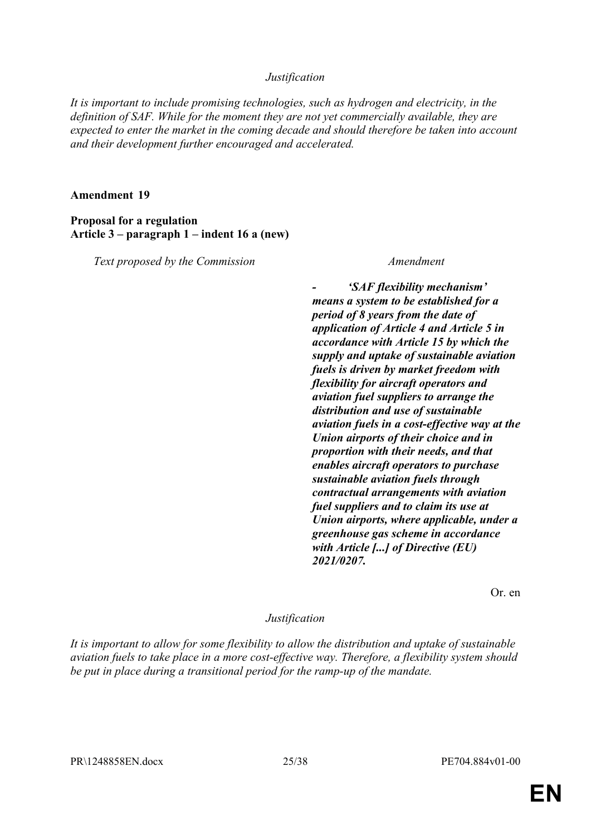### *Justification*

*It is important to include promising technologies, such as hydrogen and electricity, in the definition of SAF. While for the moment they are not yet commercially available, they are expected to enter the market in the coming decade and should therefore be taken into account and their development further encouraged and accelerated.*

### **Amendment 19**

**Proposal for a regulation Article 3 – paragraph 1 – indent 16 a (new)**

*Text proposed by the Commission Amendment*

*- 'SAF flexibility mechanism' means a system to be established for a period of 8 years from the date of application of Article 4 and Article 5 in accordance with Article 15 by which the supply and uptake of sustainable aviation fuels is driven by market freedom with flexibility for aircraft operators and aviation fuel suppliers to arrange the distribution and use of sustainable aviation fuels in a cost-effective way at the Union airports of their choice and in proportion with their needs, and that enables aircraft operators to purchase sustainable aviation fuels through contractual arrangements with aviation fuel suppliers and to claim its use at Union airports, where applicable, under a greenhouse gas scheme in accordance with Article [...] of Directive (EU) 2021/0207.*

Or. en

### *Justification*

*It is important to allow for some flexibility to allow the distribution and uptake of sustainable aviation fuels to take place in a more cost-effective way. Therefore, a flexibility system should be put in place during a transitional period for the ramp-up of the mandate.*

PR\1248858EN.docx 25/38 PE704.884v01-00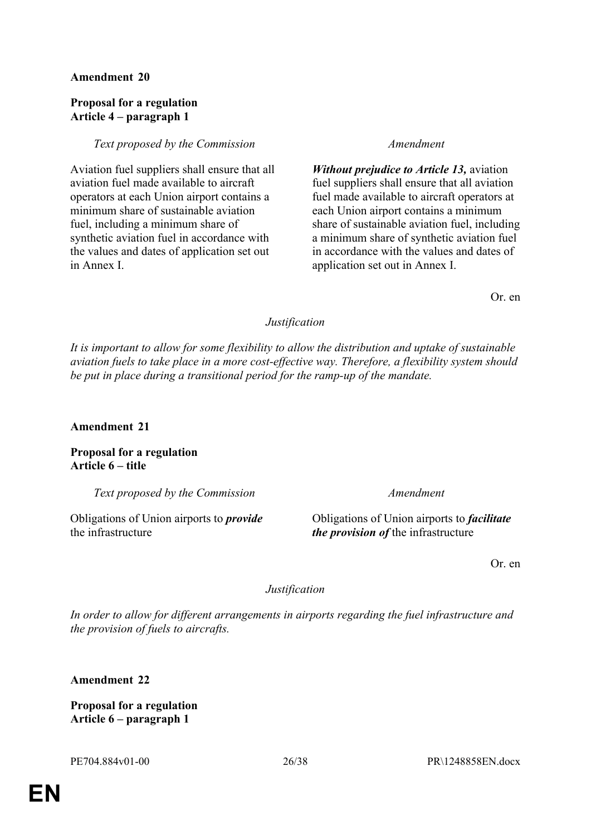# **Amendment 20**

# **Proposal for a regulation Article 4 – paragraph 1**

### *Text proposed by the Commission Amendment*

Aviation fuel suppliers shall ensure that all aviation fuel made available to aircraft operators at each Union airport contains a minimum share of sustainable aviation fuel, including a minimum share of synthetic aviation fuel in accordance with the values and dates of application set out in Annex I.

*Without prejudice to Article 13,* aviation fuel suppliers shall ensure that all aviation fuel made available to aircraft operators at each Union airport contains a minimum share of sustainable aviation fuel, including a minimum share of synthetic aviation fuel in accordance with the values and dates of application set out in Annex I.

Or. en

# *Justification*

*It is important to allow for some flexibility to allow the distribution and uptake of sustainable aviation fuels to take place in a more cost-effective way. Therefore, a flexibility system should be put in place during a transitional period for the ramp-up of the mandate.*

# **Amendment 21**

**Proposal for a regulation Article 6 – title**

*Text proposed by the Commission Amendment*

Obligations of Union airports to *provide* the infrastructure

Obligations of Union airports to *facilitate the provision of* the infrastructure

Or. en

# *Justification*

*In order to allow for different arrangements in airports regarding the fuel infrastructure and the provision of fuels to aircrafts.*

**Amendment 22**

**Proposal for a regulation Article 6 – paragraph 1**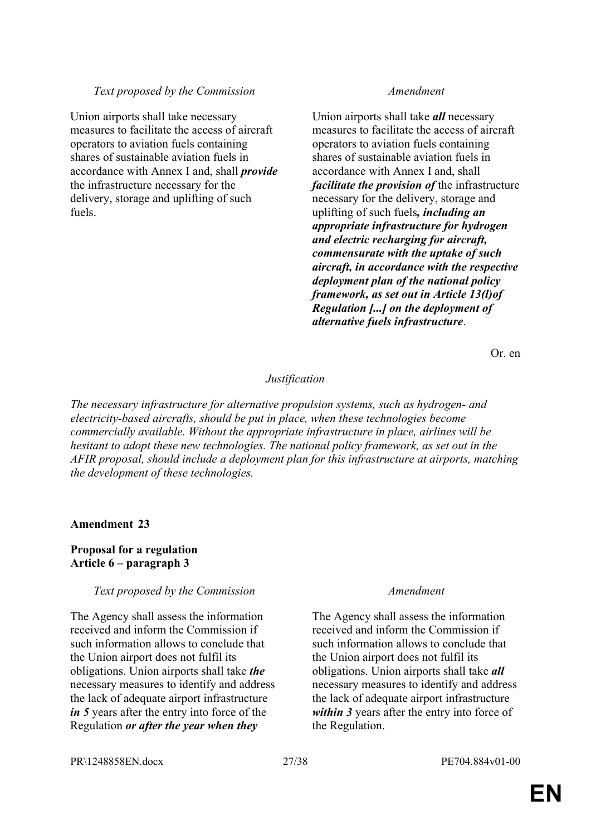### *Text proposed by the Commission Amendment*

Union airports shall take necessary measures to facilitate the access of aircraft operators to aviation fuels containing shares of sustainable aviation fuels in accordance with Annex I and, shall *provide* the infrastructure necessary for the delivery, storage and uplifting of such fuels.

Union airports shall take *all* necessary measures to facilitate the access of aircraft operators to aviation fuels containing shares of sustainable aviation fuels in accordance with Annex I and, shall *facilitate the provision of* the infrastructure necessary for the delivery, storage and uplifting of such fuels*, including an appropriate infrastructure for hydrogen and electric recharging for aircraft, commensurate with the uptake of such aircraft, in accordance with the respective deployment plan of the national policy framework, as set out in Article 13(l)of Regulation [...] on the deployment of alternative fuels infrastructure*.

Or. en

# *Justification*

*The necessary infrastructure for alternative propulsion systems, such as hydrogen- and electricity-based aircrafts, should be put in place, when these technologies become commercially available. Without the appropriate infrastructure in place, airlines will be hesitant to adopt these new technologies. The national policy framework, as set out in the AFIR proposal, should include a deployment plan for this infrastructure at airports, matching the development of these technologies.*

### **Amendment 23**

# **Proposal for a regulation Article 6 – paragraph 3**

### *Text proposed by the Commission Amendment*

The Agency shall assess the information received and inform the Commission if such information allows to conclude that the Union airport does not fulfil its obligations. Union airports shall take *the* necessary measures to identify and address the lack of adequate airport infrastructure *in 5* years after the entry into force of the Regulation *or after the year when they* 

The Agency shall assess the information received and inform the Commission if such information allows to conclude that the Union airport does not fulfil its obligations. Union airports shall take *all* necessary measures to identify and address the lack of adequate airport infrastructure *within 3* years after the entry into force of the Regulation.

PR\1248858EN.docx 27/38 PE704.884v01-00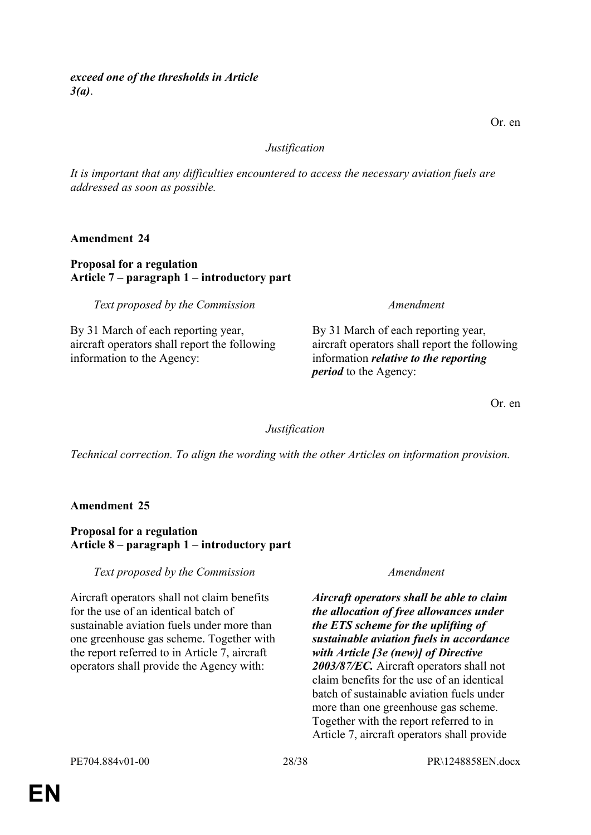### *Justification*

*It is important that any difficulties encountered to access the necessary aviation fuels are addressed as soon as possible.*

**Amendment 24**

# **Proposal for a regulation Article 7 – paragraph 1 – introductory part**

*Text proposed by the Commission Amendment*

By 31 March of each reporting year, aircraft operators shall report the following information to the Agency:

By 31 March of each reporting year, aircraft operators shall report the following information *relative to the reporting period* to the Agency:

Or. en

# *Justification*

*Technical correction. To align the wording with the other Articles on information provision.*

# **Amendment 25**

# **Proposal for a regulation Article 8 – paragraph 1 – introductory part**

### *Text proposed by the Commission Amendment*

Aircraft operators shall not claim benefits for the use of an identical batch of sustainable aviation fuels under more than one greenhouse gas scheme. Together with the report referred to in Article 7, aircraft operators shall provide the Agency with:

*Aircraft operators shall be able to claim the allocation of free allowances under the ETS scheme for the uplifting of sustainable aviation fuels in accordance with Article [3e (new)] of Directive 2003/87/EC.* Aircraft operators shall not claim benefits for the use of an identical batch of sustainable aviation fuels under more than one greenhouse gas scheme. Together with the report referred to in Article 7, aircraft operators shall provide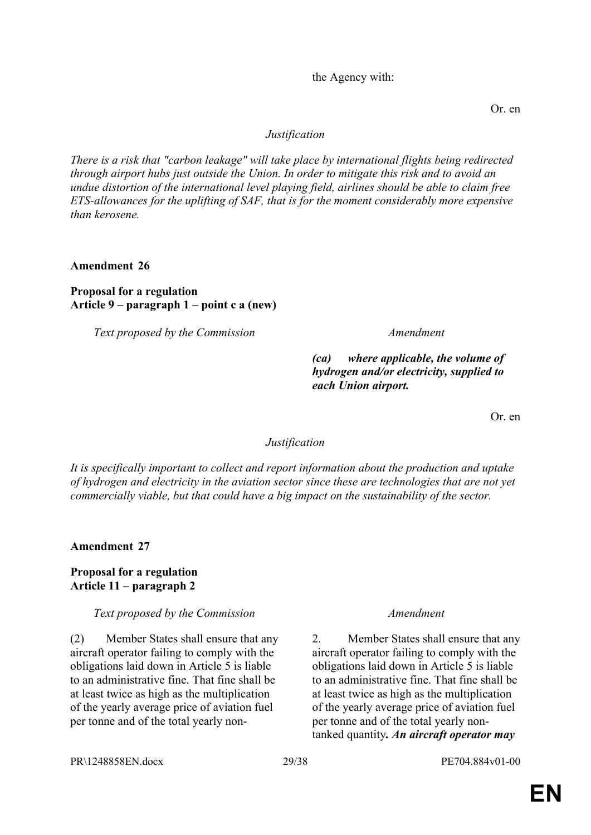PR\1248858EN.docx 29/38 PE704.884v01-00

(2) Member States shall ensure that any aircraft operator failing to comply with the obligations laid down in Article 5 is liable to an administrative fine. That fine shall be at least twice as high as the multiplication of the yearly average price of aviation fuel per tonne and of the total yearly non-

2. Member States shall ensure that any aircraft operator failing to comply with the obligations laid down in Article 5 is liable to an administrative fine. That fine shall be at least twice as high as the multiplication of the yearly average price of aviation fuel per tonne and of the total yearly nontanked quantity*. An aircraft operator may* 

*Text proposed by the Commission Amendment*

**Proposal for a regulation Article 11 – paragraph 2**

**Amendment 27**

**Amendment 26**

**Proposal for a regulation**

*Text proposed by the Commission Amendment*

**Article 9 – paragraph 1 – point c a (new)**

# *(ca) where applicable, the volume of hydrogen and/or electricity, supplied to each Union airport.*

Or. en

# *Justification*

*There is a risk that "carbon leakage" will take place by international flights being redirected through airport hubs just outside the Union. In order to mitigate this risk and to avoid an undue distortion of the international level playing field, airlines should be able to claim free ETS-allowances for the uplifting of SAF, that is for the moment considerably more expensive than kerosene.*

*Justification*

*It is specifically important to collect and report information about the production and uptake of hydrogen and electricity in the aviation sector since these are technologies that are not yet commercially viable, but that could have a big impact on the sustainability of the sector.*

the Agency with:

Or. en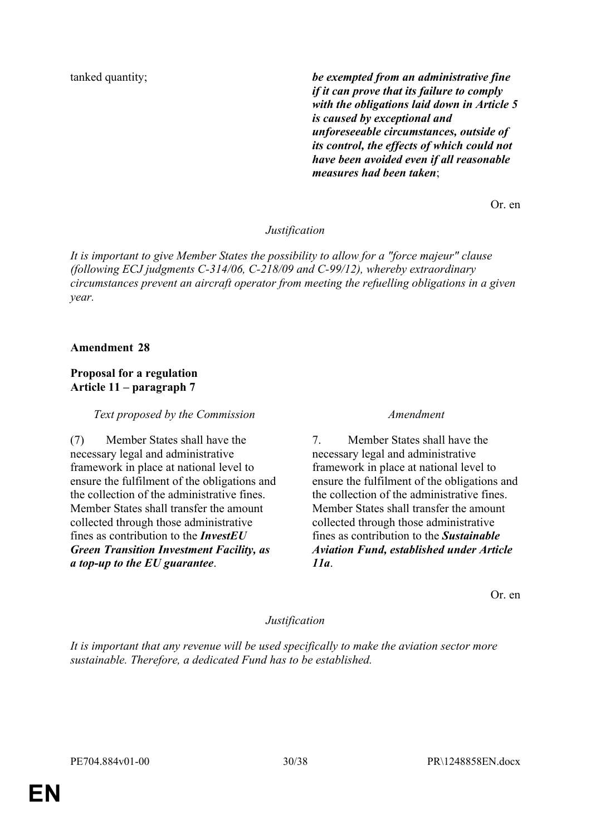tanked quantity; *be exempted from an administrative fine if it can prove that its failure to comply with the obligations laid down in Article 5 is caused by exceptional and unforeseeable circumstances, outside of its control, the effects of which could not have been avoided even if all reasonable measures had been taken*;

Or. en

### *Justification*

*It is important to give Member States the possibility to allow for a "force majeur" clause (following ECJ judgments C-314/06, C-218/09 and C-99/12), whereby extraordinary circumstances prevent an aircraft operator from meeting the refuelling obligations in a given year.*

### **Amendment 28**

# **Proposal for a regulation Article 11 – paragraph 7**

*Text proposed by the Commission Amendment*

(7) Member States shall have the necessary legal and administrative framework in place at national level to ensure the fulfilment of the obligations and the collection of the administrative fines. Member States shall transfer the amount collected through those administrative fines as contribution to the *InvestEU Green Transition Investment Facility, as a top-up to the EU guarantee*.

7. Member States shall have the necessary legal and administrative framework in place at national level to ensure the fulfilment of the obligations and the collection of the administrative fines. Member States shall transfer the amount collected through those administrative fines as contribution to the *Sustainable Aviation Fund, established under Article 11a*.

Or. en

# *Justification*

*It is important that any revenue will be used specifically to make the aviation sector more sustainable. Therefore, a dedicated Fund has to be established.*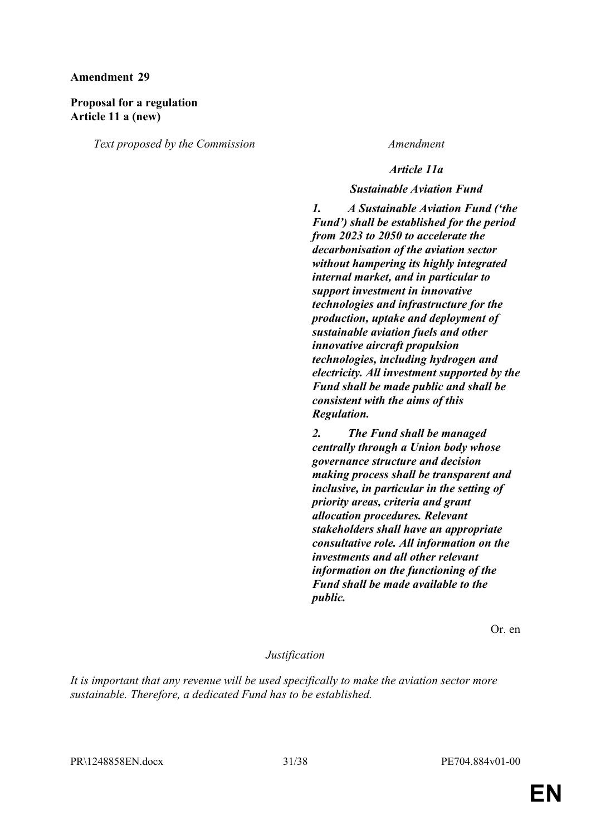### **Amendment 29**

# **Proposal for a regulation Article 11 a (new)**

*Text proposed by the Commission Amendment*

### *Article 11a*

#### *Sustainable Aviation Fund*

*1. A Sustainable Aviation Fund ('the Fund') shall be established for the period from 2023 to 2050 to accelerate the decarbonisation of the aviation sector without hampering its highly integrated internal market, and in particular to support investment in innovative technologies and infrastructure for the production, uptake and deployment of sustainable aviation fuels and other innovative aircraft propulsion technologies, including hydrogen and electricity. All investment supported by the Fund shall be made public and shall be consistent with the aims of this Regulation.*

*2. The Fund shall be managed centrally through a Union body whose governance structure and decision making process shall be transparent and inclusive, in particular in the setting of priority areas, criteria and grant allocation procedures. Relevant stakeholders shall have an appropriate consultative role. All information on the investments and all other relevant information on the functioning of the Fund shall be made available to the public.*

Or. en

# *Justification*

*It is important that any revenue will be used specifically to make the aviation sector more sustainable. Therefore, a dedicated Fund has to be established.*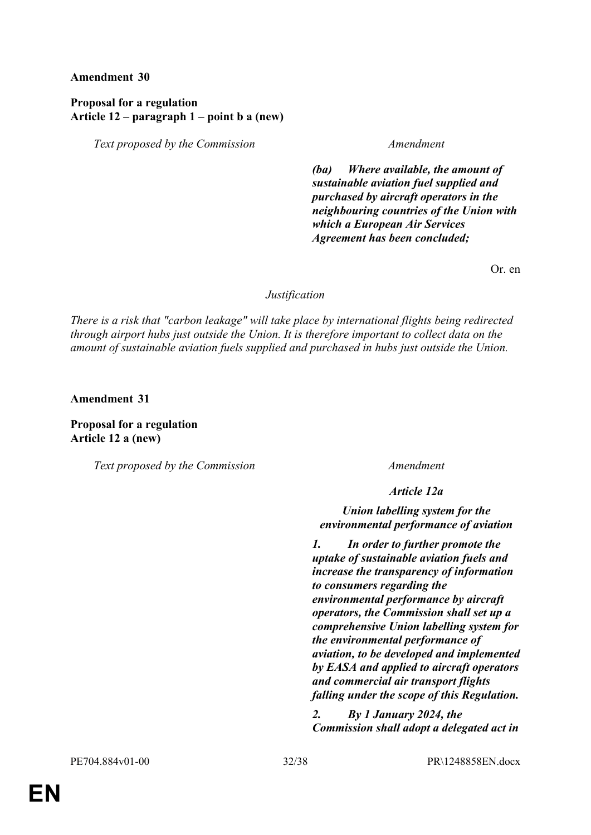### **Amendment 30**

# **Proposal for a regulation Article 12 – paragraph 1 – point b a (new)**

*Text proposed by the Commission Amendment*

*(ba) Where available, the amount of sustainable aviation fuel supplied and purchased by aircraft operators in the neighbouring countries of the Union with which a European Air Services Agreement has been concluded;*

Or. en

#### *Justification*

*There is a risk that "carbon leakage" will take place by international flights being redirected through airport hubs just outside the Union. It is therefore important to collect data on the amount of sustainable aviation fuels supplied and purchased in hubs just outside the Union.*

**Amendment 31**

**Proposal for a regulation Article 12 a (new)**

*Text proposed by the Commission Amendment*

*Article 12a*

*Union labelling system for the environmental performance of aviation*

*1. In order to further promote the uptake of sustainable aviation fuels and increase the transparency of information to consumers regarding the environmental performance by aircraft operators, the Commission shall set up a comprehensive Union labelling system for the environmental performance of aviation, to be developed and implemented by EASA and applied to aircraft operators and commercial air transport flights falling under the scope of this Regulation.*

*2. By 1 January 2024, the Commission shall adopt a delegated act in*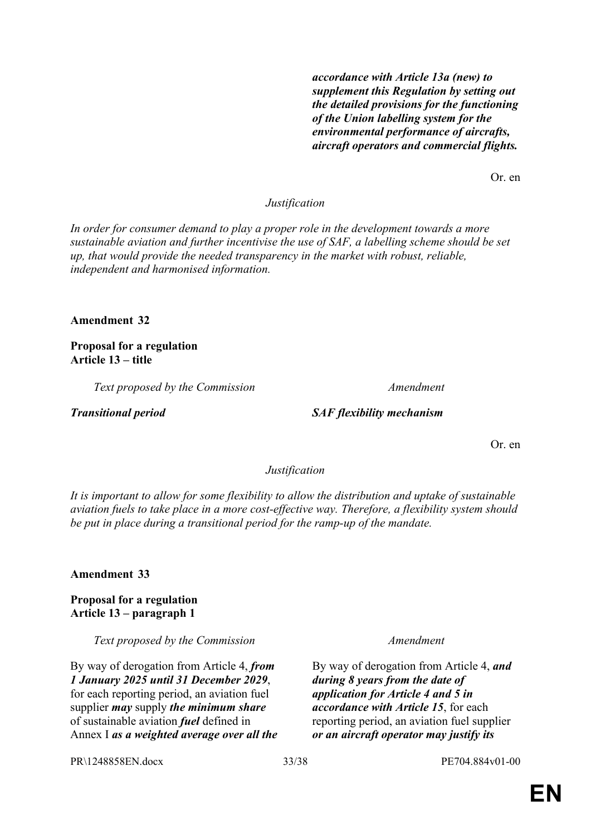*accordance with Article 13a (new) to supplement this Regulation by setting out the detailed provisions for the functioning of the Union labelling system for the environmental performance of aircrafts, aircraft operators and commercial flights.*

Or. en

### *Justification*

*In order for consumer demand to play a proper role in the development towards a more sustainable aviation and further incentivise the use of SAF, a labelling scheme should be set up, that would provide the needed transparency in the market with robust, reliable, independent and harmonised information.*

#### **Amendment 32**

**Proposal for a regulation Article 13 – title**

*Text proposed by the Commission Amendment*

#### *Transitional period SAF flexibility mechanism*

Or. en

#### *Justification*

*It is important to allow for some flexibility to allow the distribution and uptake of sustainable aviation fuels to take place in a more cost-effective way. Therefore, a flexibility system should be put in place during a transitional period for the ramp-up of the mandate.*

**Amendment 33**

**Proposal for a regulation Article 13 – paragraph 1**

*Text proposed by the Commission Amendment*

By way of derogation from Article 4, *from 1 January 2025 until 31 December 2029*, for each reporting period, an aviation fuel supplier *may* supply *the minimum share* of sustainable aviation *fuel* defined in Annex I *as a weighted average over all the* 

By way of derogation from Article 4, *and during 8 years from the date of application for Article 4 and 5 in accordance with Article 15*, for each reporting period, an aviation fuel supplier *or an aircraft operator may justify its*

PR\1248858EN.docx 33/38 PE704.884v01-00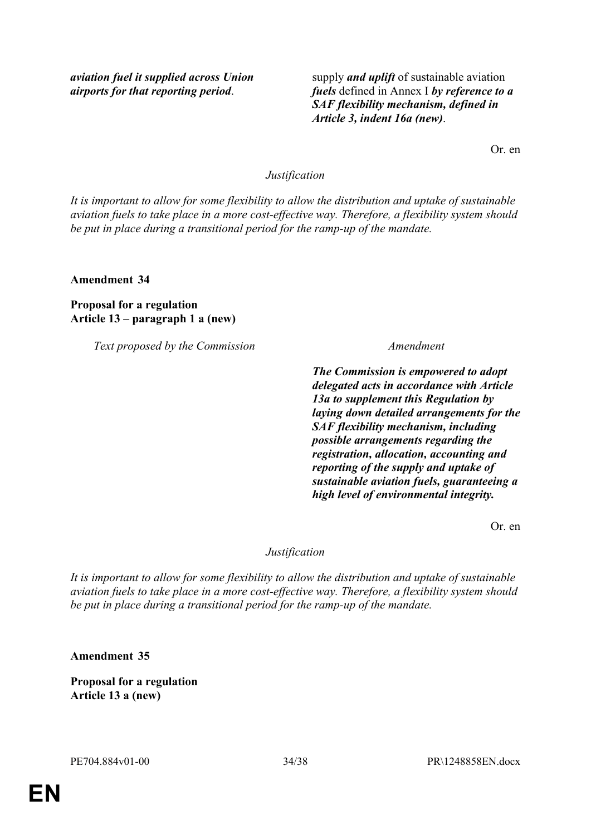*aviation fuel it supplied across Union airports for that reporting period*.

supply *and uplift* of sustainable aviation *fuels* defined in Annex I *by reference to a SAF flexibility mechanism, defined in Article 3, indent 16a (new)*.

Or. en

# *Justification*

*It is important to allow for some flexibility to allow the distribution and uptake of sustainable aviation fuels to take place in a more cost-effective way. Therefore, a flexibility system should be put in place during a transitional period for the ramp-up of the mandate.*

**Amendment 34**

**Proposal for a regulation Article 13 – paragraph 1 a (new)**

*Text proposed by the Commission Amendment*

*The Commission is empowered to adopt delegated acts in accordance with Article 13a to supplement this Regulation by laying down detailed arrangements for the SAF flexibility mechanism, including possible arrangements regarding the registration, allocation, accounting and reporting of the supply and uptake of sustainable aviation fuels, guaranteeing a high level of environmental integrity.*

Or. en

### *Justification*

*It is important to allow for some flexibility to allow the distribution and uptake of sustainable aviation fuels to take place in a more cost-effective way. Therefore, a flexibility system should be put in place during a transitional period for the ramp-up of the mandate.*

**Amendment 35**

**Proposal for a regulation Article 13 a (new)**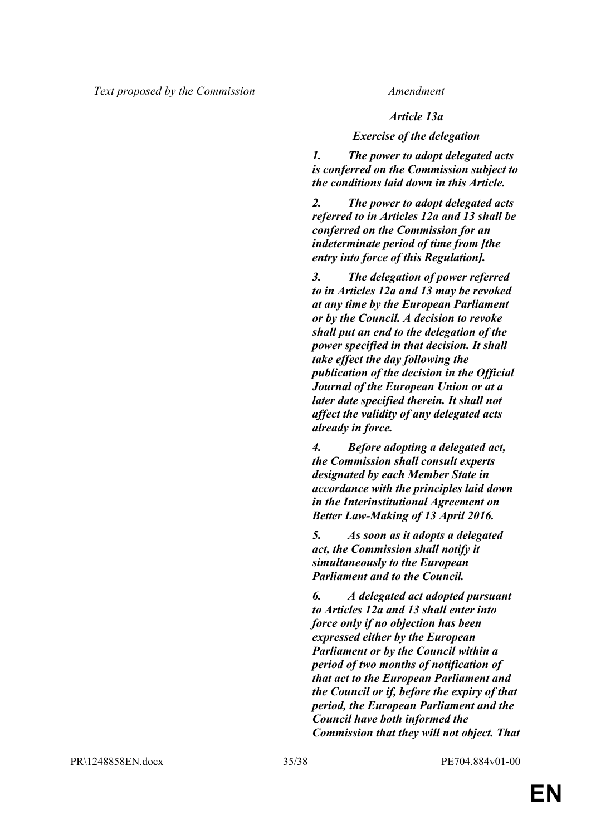### *Article 13a*

#### *Exercise of the delegation*

*1. The power to adopt delegated acts is conferred on the Commission subject to the conditions laid down in this Article.*

*2. The power to adopt delegated acts referred to in Articles 12a and 13 shall be conferred on the Commission for an indeterminate period of time from [the entry into force of this Regulation].*

*3. The delegation of power referred to in Articles 12a and 13 may be revoked at any time by the European Parliament or by the Council. A decision to revoke shall put an end to the delegation of the power specified in that decision. It shall take effect the day following the publication of the decision in the Official Journal of the European Union or at a later date specified therein. It shall not affect the validity of any delegated acts already in force.*

*4. Before adopting a delegated act, the Commission shall consult experts designated by each Member State in accordance with the principles laid down in the Interinstitutional Agreement on Better Law-Making of 13 April 2016.*

*5. As soon as it adopts a delegated act, the Commission shall notify it simultaneously to the European Parliament and to the Council.*

*6. A delegated act adopted pursuant to Articles 12a and 13 shall enter into force only if no objection has been expressed either by the European Parliament or by the Council within a period of two months of notification of that act to the European Parliament and the Council or if, before the expiry of that period, the European Parliament and the Council have both informed the Commission that they will not object. That*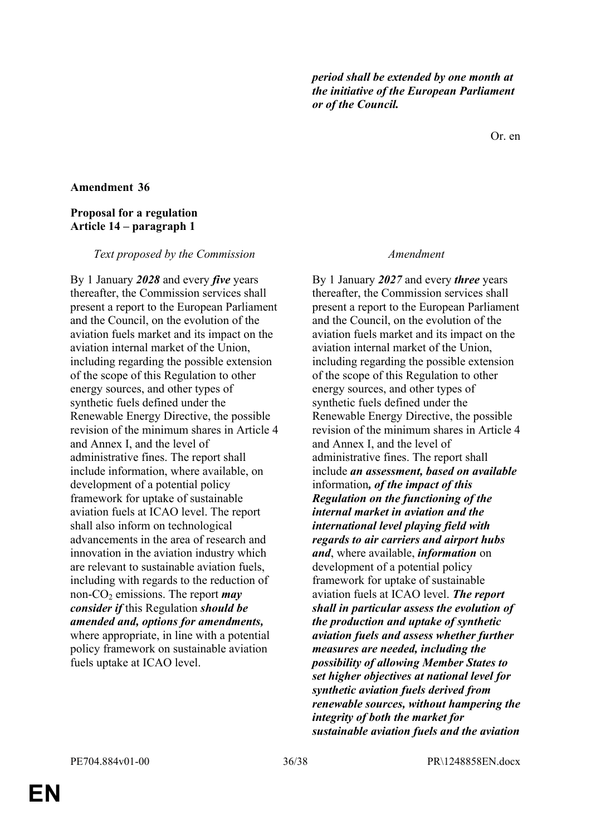*period shall be extended by one month at the initiative of the European Parliament or of the Council.*

Or. en

#### **Amendment 36**

# **Proposal for a regulation Article 14 – paragraph 1**

#### *Text proposed by the Commission Amendment*

By 1 January *2028* and every *five* years thereafter, the Commission services shall present a report to the European Parliament and the Council, on the evolution of the aviation fuels market and its impact on the aviation internal market of the Union, including regarding the possible extension of the scope of this Regulation to other energy sources, and other types of synthetic fuels defined under the Renewable Energy Directive, the possible revision of the minimum shares in Article 4 and Annex I, and the level of administrative fines. The report shall include information, where available, on development of a potential policy framework for uptake of sustainable aviation fuels at ICAO level. The report shall also inform on technological advancements in the area of research and innovation in the aviation industry which are relevant to sustainable aviation fuels, including with regards to the reduction of non-CO<sub>2</sub> emissions. The report *may consider if* this Regulation *should be amended and, options for amendments,* where appropriate, in line with a potential policy framework on sustainable aviation fuels uptake at ICAO level.

By 1 January *2027* and every *three* years thereafter, the Commission services shall present a report to the European Parliament and the Council, on the evolution of the aviation fuels market and its impact on the aviation internal market of the Union, including regarding the possible extension of the scope of this Regulation to other energy sources, and other types of synthetic fuels defined under the Renewable Energy Directive, the possible revision of the minimum shares in Article 4 and Annex I, and the level of administrative fines. The report shall include *an assessment, based on available* information*, of the impact of this Regulation on the functioning of the internal market in aviation and the international level playing field with regards to air carriers and airport hubs and*, where available, *information* on development of a potential policy framework for uptake of sustainable aviation fuels at ICAO level. *The report shall in particular assess the evolution of the production and uptake of synthetic aviation fuels and assess whether further measures are needed, including the possibility of allowing Member States to set higher objectives at national level for synthetic aviation fuels derived from renewable sources, without hampering the integrity of both the market for sustainable aviation fuels and the aviation* 

**EN**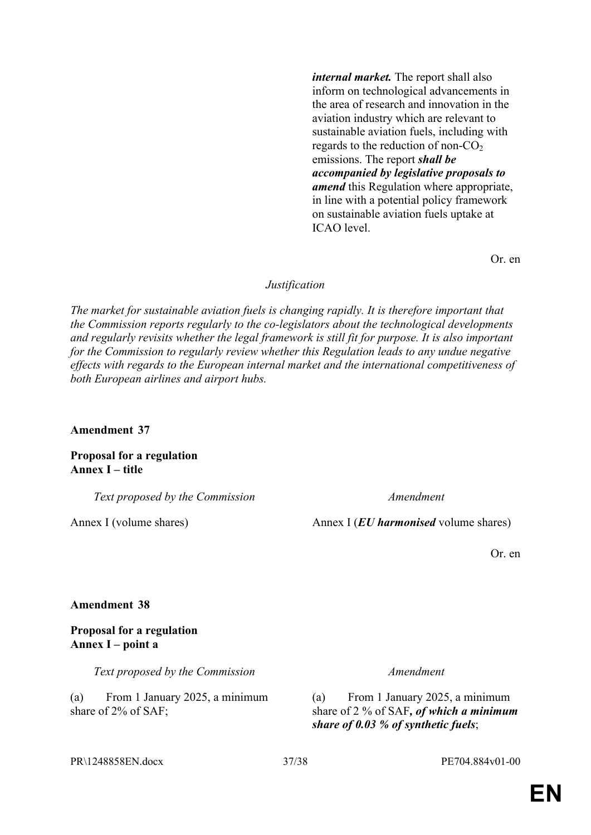*internal market.* The report shall also inform on technological advancements in the area of research and innovation in the aviation industry which are relevant to sustainable aviation fuels, including with regards to the reduction of non- $CO<sub>2</sub>$ emissions. The report *shall be accompanied by legislative proposals to amend* this Regulation where appropriate, in line with a potential policy framework on sustainable aviation fuels uptake at ICAO level.

Or. en

#### *Justification*

*The market for sustainable aviation fuels is changing rapidly. It is therefore important that the Commission reports regularly to the co-legislators about the technological developments and regularly revisits whether the legal framework is still fit for purpose. It is also important for the Commission to regularly review whether this Regulation leads to any undue negative effects with regards to the European internal market and the international competitiveness of both European airlines and airport hubs.*

**Amendment 37**

**Proposal for a regulation Annex I – title**

*Text proposed by the Commission Amendment*

Annex I (volume shares) Annex I (*EU harmonised* volume shares)

Or. en

#### **Amendment 38**

# **Proposal for a regulation Annex I – point a**

*Text proposed by the Commission Amendment*

(a) From 1 January 2025, a minimum share of 2% of SAF;

(a) From 1 January 2025, a minimum share of 2 % of SAF*, of which a minimum share of 0.03 % of synthetic fuels*;